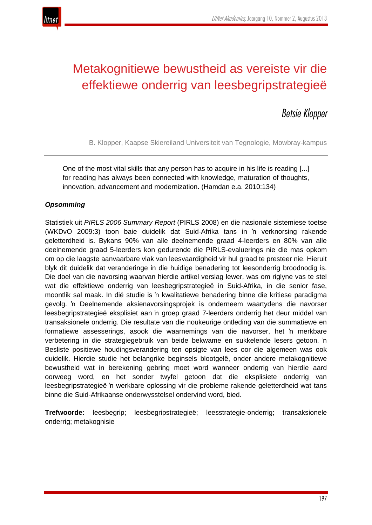

# Metakognitiewe bewustheid as vereiste vir die effektiewe onderrig van leesbegripstrategieë

## *Betsie Klopper*

B. Klopper, Kaapse Skiereiland Universiteit van Tegnologie, Mowbray-kampus

One of the most vital skills that any person has to acquire in his life is reading [...] for reading has always been connected with knowledge, maturation of thoughts, innovation, advancement and modernization. (Hamdan e.a. 2010:134)

## *Opsomming*

Statistiek uit *PIRLS 2006 Summary Report* (PIRLS 2008) en die nasionale sistemiese toetse (WKDvO 2009:3) toon baie duidelik dat Suid-Afrika tans in 'n verknorsing rakende geletterdheid is. Bykans 90% van alle deelnemende graad 4-leerders en 80% van alle deelnemende graad 5-leerders kon gedurende die PIRLS-evaluerings nie die mas opkom om op die laagste aanvaarbare vlak van leesvaardigheid vir hul graad te presteer nie. Hieruit blyk dit duidelik dat veranderinge in die huidige benadering tot leesonderrig broodnodig is. Die doel van die navorsing waarvan hierdie artikel verslag lewer, was om riglyne vas te stel wat die effektiewe onderrig van leesbegripstrategieë in Suid-Afrika, in die senior fase, moontlik sal maak. In dié studie is 'n kwalitatiewe benadering binne die kritiese paradigma gevolg. 'n Deelnemende aksienavorsingsprojek is onderneem waartydens die navorser leesbegripstrategieë eksplisiet aan 'n groep graad 7-leerders onderrig het deur middel van transaksionele onderrig. Die resultate van die noukeurige ontleding van die summatiewe en formatiewe assesserings, asook die waarnemings van die navorser, het 'n merkbare verbetering in die strategiegebruik van beide bekwame en sukkelende lesers getoon. 'n Besliste positiewe houdingsverandering ten opsigte van lees oor die algemeen was ook duidelik. Hierdie studie het belangrike beginsels blootgelê, onder andere metakognitiewe bewustheid wat in berekening gebring moet word wanneer onderrig van hierdie aard oorweeg word, en het sonder twyfel getoon dat die eksplisiete onderrig van leesbegripstrategieë 'n werkbare oplossing vir die probleme rakende geletterdheid wat tans binne die Suid-Afrikaanse onderwysstelsel ondervind word, bied.

**Trefwoorde:** leesbegrip; leesbegripstrategieë; leesstrategie-onderrig; transaksionele onderrig; metakognisie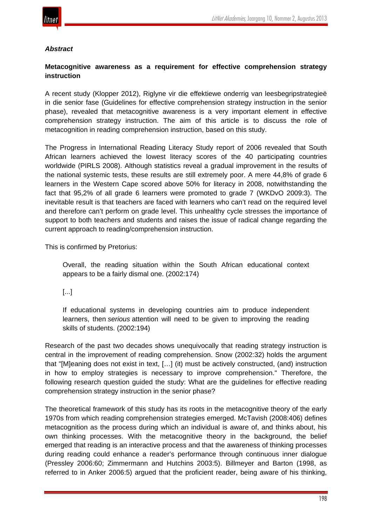

## *Abstract*

## **Metacognitive awareness as a requirement for effective comprehension strategy instruction**

A recent study (Klopper 2012), Riglyne vir die effektiewe onderrig van leesbegripstrategieë in die senior fase (Guidelines for effective comprehension strategy instruction in the senior phase), revealed that metacognitive awareness is a very important element in effective comprehension strategy instruction. The aim of this article is to discuss the role of metacognition in reading comprehension instruction, based on this study.

The Progress in International Reading Literacy Study report of 2006 revealed that South African learners achieved the lowest literacy scores of the 40 participating countries worldwide (PIRLS 2008). Although statistics reveal a gradual improvement in the results of the national systemic tests, these results are still extremely poor. A mere 44,8% of grade 6 learners in the Western Cape scored above 50% for literacy in 2008, notwithstanding the fact that 95,2% of all grade 6 learners were promoted to grade 7 (WKDvO 2009:3). The inevitable result is that teachers are faced with learners who can't read on the required level and therefore can't perform on grade level. This unhealthy cycle stresses the importance of support to both teachers and students and raises the issue of radical change regarding the current approach to reading/comprehension instruction.

This is confirmed by Pretorius:

Overall, the reading situation within the South African educational context appears to be a fairly dismal one. (2002:174)

[...]

If educational systems in developing countries aim to produce independent learners, then *serious* attention will need to be given to improving the reading skills of students. (2002:194)

Research of the past two decades shows unequivocally that reading strategy instruction is central in the improvement of reading comprehension. Snow (2002:32) holds the argument that "[M]eaning does not exist in text, […] (it) must be actively constructed, (and) instruction in how to employ strategies is necessary to improve comprehension." Therefore, the following research question guided the study: What are the guidelines for effective reading comprehension strategy instruction in the senior phase?

The theoretical framework of this study has its roots in the metacognitive theory of the early 1970s from which reading comprehension strategies emerged. McTavish (2008:406) defines metacognition as the process during which an individual is aware of, and thinks about, his own thinking processes. With the metacognitive theory in the background, the belief emerged that reading is an interactive process and that the awareness of thinking processes during reading could enhance a reader's performance through continuous inner dialogue (Pressley 2006:60; Zimmermann and Hutchins 2003:5). Billmeyer and Barton (1998, as referred to in Anker 2006:5) argued that the proficient reader, being aware of his thinking,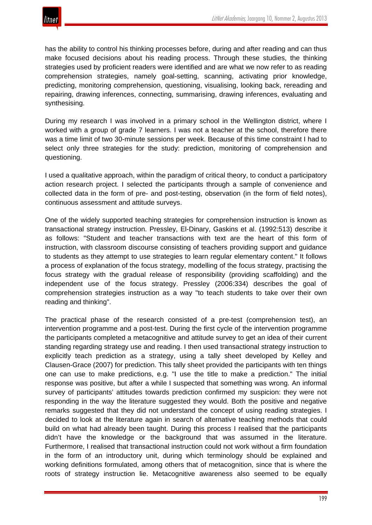has the ability to control his thinking processes before, during and after reading and can thus make focused decisions about his reading process. Through these studies, the thinking strategies used by proficient readers were identified and are what we now refer to as reading comprehension strategies, namely goal-setting, scanning, activating prior knowledge, predicting, monitoring comprehension, questioning, visualising, looking back, rereading and repairing, drawing inferences, connecting, summarising, drawing inferences, evaluating and synthesising.

During my research I was involved in a primary school in the Wellington district, where I worked with a group of grade 7 learners. I was not a teacher at the school, therefore there was a time limit of two 30-minute sessions per week. Because of this time constraint I had to select only three strategies for the study: prediction, monitoring of comprehension and questioning.

I used a qualitative approach, within the paradigm of critical theory, to conduct a participatory action research project. I selected the participants through a sample of convenience and collected data in the form of pre- and post-testing, observation (in the form of field notes), continuous assessment and attitude surveys.

One of the widely supported teaching strategies for comprehension instruction is known as transactional strategy instruction. Pressley, El-Dinary, Gaskins et al. (1992:513) describe it as follows: "Student and teacher transactions with text are the heart of this form of instruction, with classroom discourse consisting of teachers providing support and guidance to students as they attempt to use strategies to learn regular elementary content." It follows a process of explanation of the focus strategy, modelling of the focus strategy, practising the focus strategy with the gradual release of responsibility (providing scaffolding) and the independent use of the focus strategy. Pressley (2006:334) describes the goal of comprehension strategies instruction as a way "to teach students to take over their own reading and thinking".

The practical phase of the research consisted of a pre-test (comprehension test), an intervention programme and a post-test. During the first cycle of the intervention programme the participants completed a metacognitive and attitude survey to get an idea of their current standing regarding strategy use and reading. I then used transactional strategy instruction to explicitly teach prediction as a strategy, using a tally sheet developed by Kelley and Clausen-Grace (2007) for prediction. This tally sheet provided the participants with ten things one can use to make predictions, e.g. "I use the title to make a prediction." The initial response was positive, but after a while I suspected that something was wrong. An informal survey of participants' attitudes towards prediction confirmed my suspicion: they were not responding in the way the literature suggested they would. Both the positive and negative remarks suggested that they did not understand the concept of using reading strategies. I decided to look at the literature again in search of alternative teaching methods that could build on what had already been taught. During this process I realised that the participants didn't have the knowledge or the background that was assumed in the literature. Furthermore, I realised that transactional instruction could not work without a firm foundation in the form of an introductory unit, during which terminology should be explained and working definitions formulated, among others that of metacognition, since that is where the roots of strategy instruction lie. Metacognitive awareness also seemed to be equally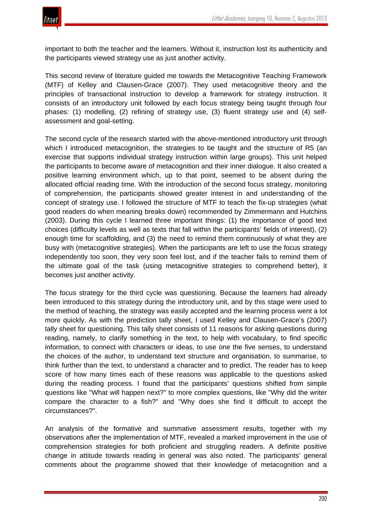

important to both the teacher and the learners. Without it, instruction lost its authenticity and the participants viewed strategy use as just another activity.

This second review of literature guided me towards the Metacognitive Teaching Framework (MTF) of Kelley and Clausen-Grace (2007). They used metacognitive theory and the principles of transactional instruction to develop a framework for strategy instruction. It consists of an introductory unit followed by each focus strategy being taught through four phases: (1) modelling, (2) refining of strategy use, (3) fluent strategy use and (4) selfassessment and goal-setting.

The second cycle of the research started with the above-mentioned introductory unit through which I introduced metacognition, the strategies to be taught and the structure of R5 (an exercise that supports individual strategy instruction within large groups). This unit helped the participants to become aware of metacognition and their inner dialogue. It also created a positive learning environment which, up to that point, seemed to be absent during the allocated official reading time. With the introduction of the second focus strategy, monitoring of comprehension, the participants showed greater interest in and understanding of the concept of strategy use. I followed the structure of MTF to teach the fix-up strategies (what good readers do when meaning breaks down) recommended by Zimmermann and Hutchins (2003). During this cycle I learned three important things: (1) the importance of good text choices (difficulty levels as well as texts that fall within the participants' fields of interest), (2) enough time for scaffolding, and (3) the need to remind them continuously of what they are busy with (metacognitive strategies). When the participants are left to use the focus strategy independently too soon, they very soon feel lost, and if the teacher fails to remind them of the ultimate goal of the task (using metacognitive strategies to comprehend better), it becomes just another activity.

The focus strategy for the third cycle was questioning. Because the learners had already been introduced to this strategy during the introductory unit, and by this stage were used to the method of teaching, the strategy was easily accepted and the learning process went a lot more quickly. As with the prediction tally sheet, I used Kelley and Clausen-Grace's (2007) tally sheet for questioning. This tally sheet consists of 11 reasons for asking questions during reading, namely, to clarify something in the text, to help with vocabulary, to find specific information, to connect with characters or ideas, to use one the five senses, to understand the choices of the author, to understand text structure and organisation, to summarise, to think further than the text, to understand a character and to predict. The reader has to keep score of how many times each of these reasons was applicable to the questions asked during the reading process. I found that the participants' questions shifted from simple questions like "What will happen next?" to more complex questions, like "Why did the writer compare the character to a fish?" and "Why does she find it difficult to accept the circumstances?".

An analysis of the formative and summative assessment results, together with my observations after the implementation of MTF, revealed a marked improvement in the use of comprehension strategies for both proficient and struggling readers. A definite positive change in attitude towards reading in general was also noted. The participants' general comments about the programme showed that their knowledge of metacognition and a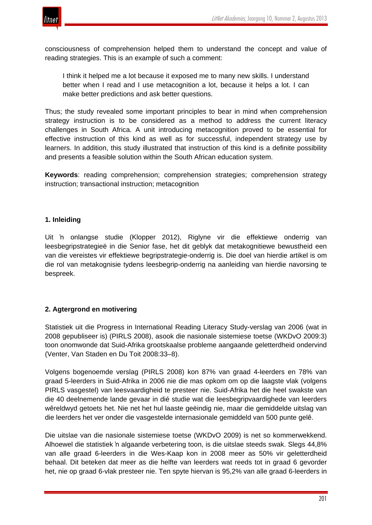

consciousness of comprehension helped them to understand the concept and value of reading strategies. This is an example of such a comment:

I think it helped me a lot because it exposed me to many new skills. I understand better when I read and I use metacognition a lot, because it helps a lot. I can make better predictions and ask better questions.

Thus; the study revealed some important principles to bear in mind when comprehension strategy instruction is to be considered as a method to address the current literacy challenges in South Africa. A unit introducing metacognition proved to be essential for effective instruction of this kind as well as for successful, independent strategy use by learners. In addition, this study illustrated that instruction of this kind is a definite possibility and presents a feasible solution within the South African education system.

**Keywords**: reading comprehension; comprehension strategies; comprehension strategy instruction; transactional instruction; metacognition

## **1. Inleiding**

Uit 'n onlangse studie (Klopper 2012), Riglyne vir die effektiewe onderrig van leesbegripstrategieë in die Senior fase, het dit geblyk dat metakognitiewe bewustheid een van die vereistes vir effektiewe begripstrategie-onderrig is. Die doel van hierdie artikel is om die rol van metakognisie tydens leesbegrip-onderrig na aanleiding van hierdie navorsing te bespreek.

## **2. Agtergrond en motivering**

Statistiek uit die Progress in International Reading Literacy Study-verslag van 2006 (wat in 2008 gepubliseer is) (PIRLS 2008), asook die nasionale sistemiese toetse (WKDvO 2009:3) toon onomwonde dat Suid-Afrika grootskaalse probleme aangaande geletterdheid ondervind (Venter, Van Staden en Du Toit 2008:33–8).

Volgens bogenoemde verslag (PIRLS 2008) kon 87% van graad 4-leerders en 78% van graad 5-leerders in Suid-Afrika in 2006 nie die mas opkom om op die laagste vlak (volgens PIRLS vasgestel) van leesvaardigheid te presteer nie. Suid-Afrika het die heel swakste van die 40 deelnemende lande gevaar in dié studie wat die leesbegripvaardighede van leerders wêreldwyd getoets het. Nie net het hul laaste geëindig nie, maar die gemiddelde uitslag van die leerders het ver onder die vasgestelde internasionale gemiddeld van 500 punte gelê.

Die uitslae van die nasionale sistemiese toetse (WKDvO 2009) is net so kommerwekkend. Alhoewel die statistiek 'n algaande verbetering toon, is die uitslae steeds swak. Slegs 44,8% van alle graad 6-leerders in die Wes-Kaap kon in 2008 meer as 50% vir geletterdheid behaal. Dit beteken dat meer as die helfte van leerders wat reeds tot in graad 6 gevorder het, nie op graad 6-vlak presteer nie. Ten spyte hiervan is 95,2% van alle graad 6-leerders in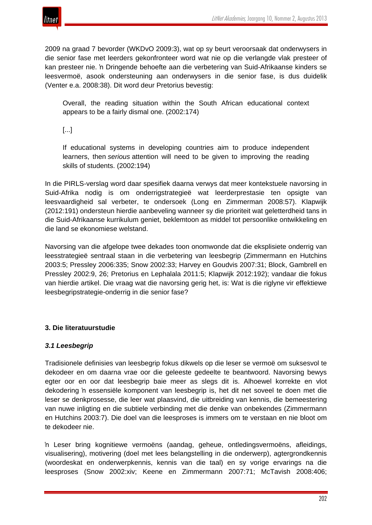

2009 na graad 7 bevorder (WKDvO 2009:3), wat op sy beurt veroorsaak dat onderwysers in die senior fase met leerders gekonfronteer word wat nie op die verlangde vlak presteer of kan presteer nie. 'n Dringende behoefte aan die verbetering van Suid-Afrikaanse kinders se leesvermoë, asook ondersteuning aan onderwysers in die senior fase, is dus duidelik (Venter e.a. 2008:38). Dit word deur Pretorius bevestig:

Overall, the reading situation within the South African educational context appears to be a fairly dismal one. (2002:174)

[...]

If educational systems in developing countries aim to produce independent learners, then *serious* attention will need to be given to improving the reading skills of students. (2002:194)

In die PIRLS-verslag word daar spesifiek daarna verwys dat meer kontekstuele navorsing in Suid-Afrika nodig is om onderrigstrategieë wat leerderprestasie ten opsigte van leesvaardigheid sal verbeter, te ondersoek (Long en Zimmerman 2008:57). Klapwijk (2012:191) ondersteun hierdie aanbeveling wanneer sy die prioriteit wat geletterdheid tans in die Suid-Afrikaanse kurrikulum geniet, beklemtoon as middel tot persoonlike ontwikkeling en die land se ekonomiese welstand.

Navorsing van die afgelope twee dekades toon onomwonde dat die eksplisiete onderrig van leesstrategieë sentraal staan in die verbetering van leesbegrip (Zimmermann en Hutchins 2003:5; Pressley 2006:335; Snow 2002:33; Harvey en Goudvis 2007:31; Block, Gambrell en Pressley 2002:9, 26; Pretorius en Lephalala 2011:5; Klapwijk 2012:192); vandaar die fokus van hierdie artikel. Die vraag wat die navorsing gerig het, is: Wat is die riglyne vir effektiewe leesbegripstrategie-onderrig in die senior fase?

## **3. Die literatuurstudie**

## *3.1 Leesbegrip*

Tradisionele definisies van leesbegrip fokus dikwels op die leser se vermoë om suksesvol te dekodeer en om daarna vrae oor die geleeste gedeelte te beantwoord. Navorsing bewys egter oor en oor dat leesbegrip baie meer as slegs dit is. Alhoewel korrekte en vlot dekodering 'n essensiële komponent van leesbegrip is, het dit net soveel te doen met die leser se denkprosesse, die leer wat plaasvind, die uitbreiding van kennis, die bemeestering van nuwe inligting en die subtiele verbinding met die denke van onbekendes (Zimmermann en Hutchins 2003:7). Die doel van die leesproses is immers om te verstaan en nie bloot om te dekodeer nie.

'n Leser bring kognitiewe vermoëns (aandag, geheue, ontledingsvermoëns, afleidings, visualisering), motivering (doel met lees belangstelling in die onderwerp), agtergrondkennis (woordeskat en onderwerpkennis, kennis van die taal) en sy vorige ervarings na die leesproses (Snow 2002:xiv; Keene en Zimmermann 2007:71; McTavish 2008:406;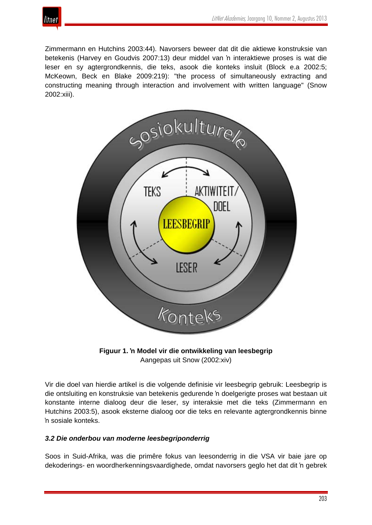

Zimmermann en Hutchins 2003:44). Navorsers beweer dat dit die aktiewe konstruksie van betekenis (Harvey en Goudvis 2007:13) deur middel van 'n interaktiewe proses is wat die leser en sy agtergrondkennis, die teks, asook die konteks insluit (Block e.a 2002:5; McKeown, Beck en Blake 2009:219): "the process of simultaneously extracting and constructing meaning through interaction and involvement with written language" (Snow 2002:xiii).





Vir die doel van hierdie artikel is die volgende definisie vir leesbegrip gebruik: Leesbegrip is die ontsluiting en konstruksie van betekenis gedurende 'n doelgerigte proses wat bestaan uit konstante interne dialoog deur die leser, sy interaksie met die teks (Zimmermann en Hutchins 2003:5), asook eksterne dialoog oor die teks en relevante agtergrondkennis binne 'n sosiale konteks.

## *3.2 Die onderbou van moderne leesbegriponderrig*

Soos in Suid-Afrika, was die primêre fokus van leesonderrig in die VSA vir baie jare op dekoderings- en woordherkenningsvaardighede, omdat navorsers geglo het dat dit 'n gebrek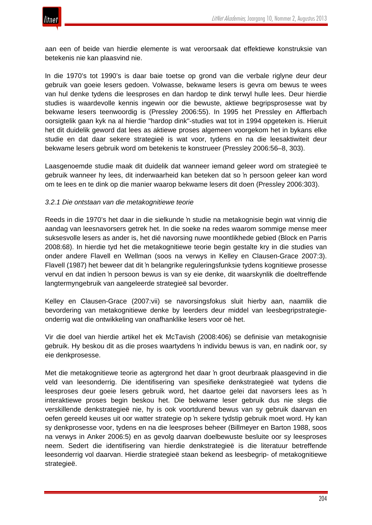

aan een of beide van hierdie elemente is wat veroorsaak dat effektiewe konstruksie van betekenis nie kan plaasvind nie.

In die 1970's tot 1990's is daar baie toetse op grond van die verbale riglyne deur deur gebruik van goeie lesers gedoen. Volwasse, bekwame lesers is gevra om bewus te wees van hul denke tydens die leesproses en dan hardop te dink terwyl hulle lees. Deur hierdie studies is waardevolle kennis ingewin oor die bewuste, aktiewe begripsprosesse wat by bekwame lesers teenwoordig is (Pressley 2006:55). In 1995 het Pressley en Afflerbach oorsigtelik gaan kyk na al hierdie "hardop dink"-studies wat tot in 1994 opgeteken is. Hieruit het dit duidelik geword dat lees as aktiewe proses algemeen voorgekom het in bykans elke studie en dat daar sekere strategieë is wat voor, tydens en na die leesaktiwiteit deur bekwame lesers gebruik word om betekenis te konstrueer (Pressley 2006:56–8, 303).

Laasgenoemde studie maak dit duidelik dat wanneer iemand geleer word om strategieë te gebruik wanneer hy lees, dit inderwaarheid kan beteken dat so 'n persoon geleer kan word om te lees en te dink op die manier waarop bekwame lesers dit doen (Pressley 2006:303).

### *3.2.1 Die ontstaan van die metakognitiewe teorie*

Reeds in die 1970's het daar in die sielkunde 'n studie na metakognisie begin wat vinnig die aandag van leesnavorsers getrek het. In die soeke na redes waarom sommige mense meer suksesvolle lesers as ander is, het dié navorsing nuwe moontlikhede gebied (Block en Parris 2008:68). In hierdie tyd het die metakognitiewe teorie begin gestalte kry in die studies van onder andere Flavell en Wellman (soos na verwys in Kelley en Clausen-Grace 2007:3). Flavell (1987) het beweer dat dit 'n belangrike reguleringsfunksie tydens kognitiewe prosesse vervul en dat indien 'n persoon bewus is van sy eie denke, dit waarskynlik die doeltreffende langtermyngebruik van aangeleerde strategieë sal bevorder.

Kelley en Clausen-Grace (2007:vii) se navorsingsfokus sluit hierby aan, naamlik die bevordering van metakognitiewe denke by leerders deur middel van leesbegripstrategieonderrig wat die ontwikkeling van onafhanklike lesers voor oë het.

Vir die doel van hierdie artikel het ek McTavish (2008:406) se definisie van metakognisie gebruik. Hy beskou dit as die proses waartydens 'n individu bewus is van, en nadink oor, sy eie denkprosesse.

Met die metakognitiewe teorie as agtergrond het daar 'n groot deurbraak plaasgevind in die veld van leesonderrig. Die identifisering van spesifieke denkstrategieë wat tydens die leesproses deur goeie lesers gebruik word, het daartoe gelei dat navorsers lees as 'n interaktiewe proses begin beskou het. Die bekwame leser gebruik dus nie slegs die verskillende denkstrategieë nie, hy is ook voortdurend bewus van sy gebruik daarvan en oefen gereeld keuses uit oor watter strategie op 'n sekere tydstip gebruik moet word. Hy kan sy denkprosesse voor, tydens en na die leesproses beheer (Billmeyer en Barton 1988, soos na verwys in Anker 2006:5) en as gevolg daarvan doelbewuste besluite oor sy leesproses neem. Sedert die identifisering van hierdie denkstrategieë is die literatuur betreffende leesonderrig vol daarvan. Hierdie strategieë staan bekend as leesbegrip- of metakognitiewe strategieë.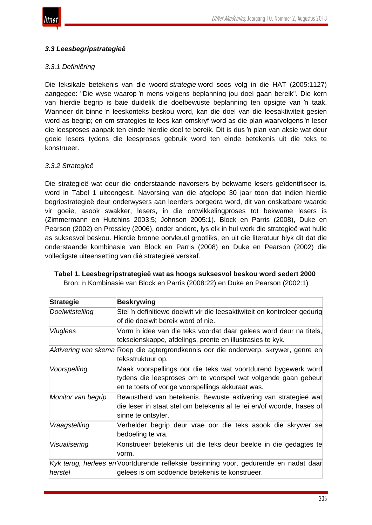

## *3.3 Leesbegripstrategieë*

## *3.3.1 Definiëring*

Die leksikale betekenis van die woord *strategie* word soos volg in die HAT (2005:1127) aangegee: "Die wyse waarop 'n mens volgens beplanning jou doel gaan bereik". Die kern van hierdie begrip is baie duidelik die doelbewuste beplanning ten opsigte van 'n taak. Wanneer dit binne 'n leeskonteks beskou word, kan die doel van die leesaktiwiteit gesien word as begrip; en om strategies te lees kan omskryf word as die plan waarvolgens 'n leser die leesproses aanpak ten einde hierdie doel te bereik. Dit is dus 'n plan van aksie wat deur goeie lesers tydens die leesproses gebruik word ten einde betekenis uit die teks te konstrueer.

## *3.3.2 Strategieë*

Die strategieë wat deur die onderstaande navorsers by bekwame lesers geïdentifiseer is, word in Tabel 1 uiteengesit. Navorsing van die afgelope 30 jaar toon dat indien hierdie begripstrategieë deur onderwysers aan leerders oorgedra word, dit van onskatbare waarde vir goeie, asook swakker, lesers, in die ontwikkelingproses tot bekwame lesers is (Zimmermann en Hutchins 2003:5; Johnson 2005:1). Block en Parris (2008), Duke en Pearson (2002) en Pressley (2006), onder andere, lys elk in hul werk die strategieë wat hulle as suksesvol beskou. Hierdie bronne oorvleuel grootliks, en uit die literatuur blyk dit dat die onderstaande kombinasie van Block en Parris (2008) en Duke en Pearson (2002) die volledigste uiteensetting van dié strategieë verskaf.

Bron: 'n Kombinasie van Block en Parris (2008:22) en Duke en Pearson (2002:1)

| <b>Strategie</b>   | <b>Beskrywing</b>                                                                                                                                                                   |
|--------------------|-------------------------------------------------------------------------------------------------------------------------------------------------------------------------------------|
| Doelwitstelling    | Stel 'n definitiewe doelwit vir die leesaktiwiteit en kontroleer gedurig<br>of die doelwit bereik word of nie.                                                                      |
| <b>Vluglees</b>    | Vorm 'n idee van die teks voordat daar gelees word deur na titels,<br>tekseienskappe, afdelings, prente en illustrasies te kyk.                                                     |
|                    | Aktivering van skema Roep die agtergrondkennis oor die onderwerp, skrywer, genre en<br>teksstruktuur op.                                                                            |
| Voorspelling       | Maak voorspellings oor die teks wat voortdurend bygewerk word<br>tydens die leesproses om te voorspel wat volgende gaan gebeur<br>en te toets of vorige voorspellings akkuraat was. |
| Monitor van begrip | Bewustheid van betekenis. Bewuste aktivering van strategieë wat<br>die leser in staat stel om betekenis af te lei en/of woorde, frases of<br>sinne te ontsyfer.                     |
| Vraagstelling      | Verhelder begrip deur vrae oor die teks asook die skrywer se<br>bedoeling te vra.                                                                                                   |
| Visualisering      | Konstrueer betekenis uit die teks deur beelde in die gedagtes te<br>vorm.                                                                                                           |
| herstel            | Kyk terug, herlees en Voortdurende refleksie besinning voor, gedurende en nadat daar<br>gelees is om sodoende betekenis te konstrueer.                                              |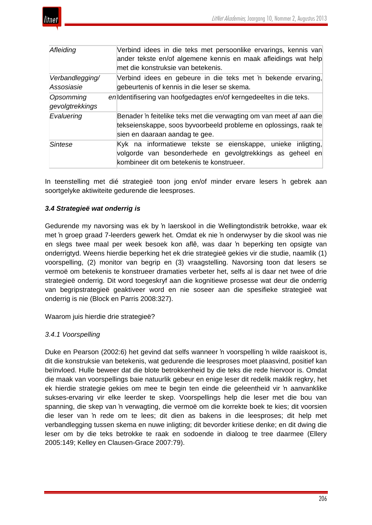

| Afleiding                    | Verbind idees in die teks met persoonlike ervarings, kennis van<br>ander tekste en/of algemene kennis en maak afleidings wat help<br>met die konstruksie van betekenis.   |
|------------------------------|---------------------------------------------------------------------------------------------------------------------------------------------------------------------------|
| Verbandlegging/              | Verbind idees en gebeure in die teks met 'n bekende ervaring,                                                                                                             |
| Assosiasie                   | gebeurtenis of kennis in die leser se skema.                                                                                                                              |
| Opsomming<br>gevolgtrekkings | en dentifisering van hoofgedagtes en/of kerngedeeltes in die teks.                                                                                                        |
| Evaluering                   | Benader 'n feitelike teks met die verwagting om van meet af aan die<br>tekseienskappe, soos byvoorbeeld probleme en oplossings, raak te<br>sien en daaraan aandag te gee. |
| Sintese                      | Kyk na informatiewe tekste se eienskappe, unieke inligting,<br>volgorde van besonderhede en gevolgtrekkings as geheel en<br>kombineer dit om betekenis te konstrueer.     |

In teenstelling met dié strategieë toon jong en/of minder ervare lesers 'n gebrek aan soortgelyke aktiwiteite gedurende die leesproses.

## *3.4 Strategieë wat onderrig is*

Gedurende my navorsing was ek by 'n laerskool in die Wellingtondistrik betrokke, waar ek met 'n groep graad 7-leerders gewerk het. Omdat ek nie 'n onderwyser by die skool was nie en slegs twee maal per week besoek kon aflê, was daar 'n beperking ten opsigte van onderrigtyd. Weens hierdie beperking het ek drie strategieë gekies vir die studie, naamlik (1) voorspelling, (2) monitor van begrip en (3) vraagstelling. Navorsing toon dat lesers se vermoë om betekenis te konstrueer dramaties verbeter het, selfs al is daar net twee of drie strategieë onderrig. Dit word toegeskryf aan die kognitiewe prosesse wat deur die onderrig van begripstrategieë geaktiveer word en nie soseer aan die spesifieke strategieë wat onderrig is nie (Block en Parris 2008:327).

Waarom juis hierdie drie strategieë?

## *3.4.1 Voorspelling*

Duke en Pearson (2002:6) het gevind dat selfs wanneer 'n voorspelling 'n wilde raaiskoot is, dit die konstruksie van betekenis, wat gedurende die leesproses moet plaasvind, positief kan beïnvloed. Hulle beweer dat die blote betrokkenheid by die teks die rede hiervoor is. Omdat die maak van voorspellings baie natuurlik gebeur en enige leser dit redelik maklik regkry, het ek hierdie strategie gekies om mee te begin ten einde die geleentheid vir 'n aanvanklike sukses-ervaring vir elke leerder te skep. Voorspellings help die leser met die bou van spanning, die skep van 'n verwagting, die vermoë om die korrekte boek te kies; dit voorsien die leser van 'n rede om te lees; dit dien as bakens in die leesproses; dit help met verbandlegging tussen skema en nuwe inligting; dit bevorder kritiese denke; en dit dwing die leser om by die teks betrokke te raak en sodoende in dialoog te tree daarmee (Ellery 2005:149; Kelley en Clausen-Grace 2007:79).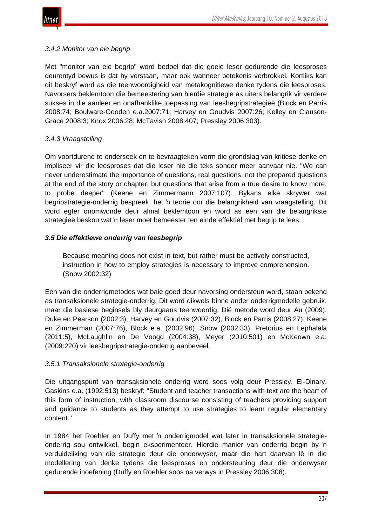

## *3.4.2 Monitor van eie begrip*

Met "monitor van eie begrip" word bedoel dat die goeie leser gedurende die leesproses deurentyd bewus is dat hy verstaan, maar ook wanneer betekenis verbrokkel. Kortliks kan dit beskryf word as die teenwoordigheid van metakognitiewe denke tydens die leesproses. Navorsers beklemtoon die bemeestering van hierdie strategie as uiters belangrik vir verdere sukses in die aanleer en onafhanklike toepassing van leesbegripstrategieë (Block en Parris 2008:74; Boulware-Gooden e.a.2007:71; Harvey en Goudvis 2007:26; Kelley en Clausen-Grace 2008:3; Knox 2006:28; McTavish 2008:407; Pressley 2006:303).

## *3.4.3 Vraagstelling*

Om voortdurend te ondersoek en te bevraagteken vorm die grondslag van kritiese denke en impliseer vir die leesproses dat die leser nie die teks sonder meer aanvaar nie. "We can never underestimate the importance of questions, real questions, not the prepared questions at the end of the story or chapter, but questions that arise from a true desire to know more, to probe deeper" (Keene en Zimmermann 2007:107). Bykans elke skrywer wat begripstrategie-onderrig bespreek, het 'n teorie oor die belangrikheid van vraagstelling. Dit word egter onomwonde deur almal beklemtoon en word as een van die belangrikste strategieë beskou wat 'n leser moet bemeester ten einde effektief met begrip te lees.

## *3.5 Die effektiewe onderrig van leesbegrip*

Because meaning does not exist in text, but rather must be actively constructed, instruction in how to employ strategies is necessary to improve comprehension. (Snow 2002:32)

Een van die onderrigmetodes wat baie goed deur navorsing ondersteun word, staan bekend as transaksionele strategie-onderrig. Dit word dikwels binne ander onderrigmodelle gebruik, maar die basiese beginsels bly deurgaans teenwoordig. Dié metode word deur Au (2009), Duke en Pearson (2002:3), Harvey en Goudvis (2007:32), Block en Parris (2008:27), Keene en Zimmerman (2007:76), Block e.a. (2002:96), Snow (2002:33), Pretorius en Lephalala (2011:5), McLaughlin en De Voogd (2004:38), Meyer (2010:501) en McKeown e.a. (2009:220) vir leesbegripstrategie-onderrig aanbeveel.

## *3.5.1 Transaksionele strategie-onderrig*

Die uitgangspunt van transaksionele onderrig word soos volg deur Pressley, El-Dinary, Gaskins e.a. (1992:513) beskryf: "Student and teacher transactions with text are the heart of this form of instruction, with classroom discourse consisting of teachers providing support and guidance to students as they attempt to use strategies to learn regular elementary content."

In 1984 het Roehler en Duffy met 'n onderrigmodel wat later in transaksionele strategieonderrig sou ontwikkel, begin eksperimenteer. Hierdie manier van onderrig begin by 'n verduideliking van die strategie deur die onderwyser, maar die hart daarvan lê in die modellering van denke tydens die leesproses en ondersteuning deur die onderwyser gedurende inoefening (Duffy en Roehler soos na verwys in Pressley 2006:308).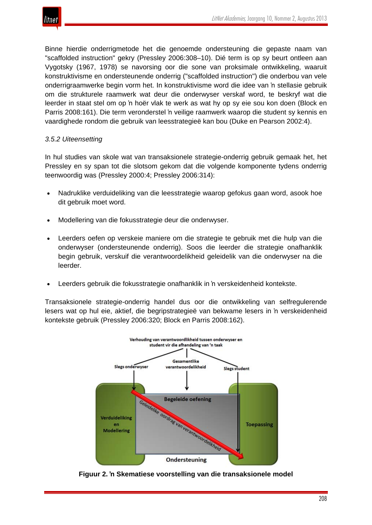Binne hierdie onderrigmetode het die genoemde ondersteuning die gepaste naam van "scaffolded instruction" gekry (Pressley 2006:308–10). Dié term is op sy beurt ontleen aan Vygotsky (1967, 1978) se navorsing oor die sone van proksimale ontwikkeling, waaruit konstruktivisme en ondersteunende onderrig ("scaffolded instruction") die onderbou van vele onderrigraamwerke begin vorm het. In konstruktivisme word die idee van 'n stellasie gebruik om die strukturele raamwerk wat deur die onderwyser verskaf word, te beskryf wat die leerder in staat stel om op 'n hoër vlak te werk as wat hy op sy eie sou kon doen (Block en Parris 2008:161). Die term veronderstel 'n veilige raamwerk waarop die student sy kennis en vaardighede rondom die gebruik van leesstrategieë kan bou (Duke en Pearson 2002:4).

## *3.5.2 Uiteensetting*

In hul studies van skole wat van transaksionele strategie-onderrig gebruik gemaak het, het Pressley en sy span tot die slotsom gekom dat die volgende komponente tydens onderrig teenwoordig was (Pressley 2000:4; Pressley 2006:314):

- Nadruklike verduideliking van die leesstrategie waarop gefokus gaan word, asook hoe dit gebruik moet word.
- Modellering van die fokusstrategie deur die onderwyser.
- Leerders oefen op verskeie maniere om die strategie te gebruik met die hulp van die onderwyser (ondersteunende onderrig). Soos die leerder die strategie onafhanklik begin gebruik, verskuif die verantwoordelikheid geleidelik van die onderwyser na die leerder.
- Leerders gebruik die fokusstrategie onafhanklik in 'n verskeidenheid kontekste.

Transaksionele strategie-onderrig handel dus oor die ontwikkeling van selfregulerende lesers wat op hul eie, aktief, die begripstrategieë van bekwame lesers in 'n verskeidenheid kontekste gebruik (Pressley 2006:320; Block en Parris 2008:162).



**Figuur 2. 'n Skematiese voorstelling van die transaksionele model**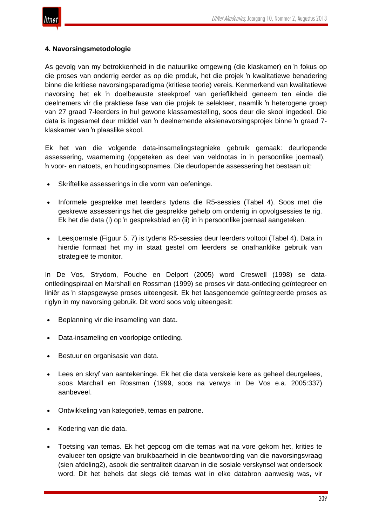

## **4. Navorsingsmetodologie**

As gevolg van my betrokkenheid in die natuurlike omgewing (die klaskamer) en 'n fokus op die proses van onderrig eerder as op die produk, het die projek 'n kwalitatiewe benadering binne die kritiese navorsingsparadigma (kritiese teorie) vereis. Kenmerkend van kwalitatiewe navorsing het ek 'n doelbewuste steekproef van gerieflikheid geneem ten einde die deelnemers vir die praktiese fase van die projek te selekteer, naamlik 'n heterogene groep van 27 graad 7-leerders in hul gewone klassamestelling, soos deur die skool ingedeel. Die data is ingesamel deur middel van 'n deelnemende aksienavorsingsprojek binne 'n graad 7 klaskamer van 'n plaaslike skool.

Ek het van die volgende data-insamelingstegnieke gebruik gemaak: deurlopende assessering, waarneming (opgeteken as deel van veldnotas in 'n persoonlike joernaal), 'n voor- en natoets, en houdingsopnames. Die deurlopende assessering het bestaan uit:

- Skriftelike assesserings in die vorm van oefeninge.
- Informele gesprekke met leerders tydens die R5-sessies (Tabel 4). Soos met die geskrewe assesserings het die gesprekke gehelp om onderrig in opvolgsessies te rig. Ek het die data (i) op 'n gespreksblad en (ii) in 'n persoonlike joernaal aangeteken.
- Leesjoernale (Figuur 5, 7) is tydens R5-sessies deur leerders voltooi (Tabel 4). Data in hierdie formaat het my in staat gestel om leerders se onafhanklike gebruik van strategieë te monitor.

In De Vos, Strydom, Fouche en Delport (2005) word Creswell (1998) se dataontledingspiraal en Marshall en Rossman (1999) se proses vir data-ontleding geïntegreer en liniêr as 'n stapsgewyse proses uiteengesit. Ek het laasgenoemde geïntegreerde proses as riglyn in my navorsing gebruik. Dit word soos volg uiteengesit:

- Beplanning vir die insameling van data.
- Data-insameling en voorlopige ontleding.
- Bestuur en organisasie van data.
- Lees en skryf van aantekeninge. Ek het die data verskeie kere as geheel deurgelees, soos Marchall en Rossman (1999, soos na verwys in De Vos e.a. 2005:337) aanbeveel.
- Ontwikkeling van kategorieë, temas en patrone.
- Kodering van die data.
- Toetsing van temas. Ek het gepoog om die temas wat na vore gekom het, krities te evalueer ten opsigte van bruikbaarheid in die beantwoording van die navorsingsvraag (sien afdeling2), asook die sentraliteit daarvan in die sosiale verskynsel wat ondersoek word. Dit het behels dat slegs dié temas wat in elke databron aanwesig was, vir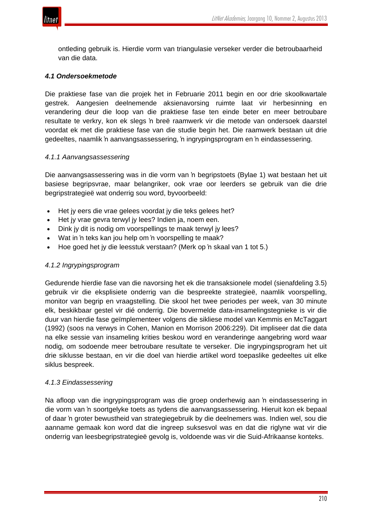

ontleding gebruik is. Hierdie vorm van triangulasie verseker verder die betroubaarheid van die data.

## *4.1 Ondersoekmetode*

Die praktiese fase van die projek het in Februarie 2011 begin en oor drie skoolkwartale gestrek. Aangesien deelnemende aksienavorsing ruimte laat vir herbesinning en verandering deur die loop van die praktiese fase ten einde beter en meer betroubare resultate te verkry, kon ek slegs 'n breë raamwerk vir die metode van ondersoek daarstel voordat ek met die praktiese fase van die studie begin het. Die raamwerk bestaan uit drie gedeeltes, naamlik 'n aanvangsassessering, 'n ingrypingsprogram en 'n eindassessering.

## *4.1.1 Aanvangsassessering*

Die aanvangsassessering was in die vorm van 'n begripstoets (Bylae 1) wat bestaan het uit basiese begripsvrae, maar belangriker, ook vrae oor leerders se gebruik van die drie begripstrategieë wat onderrig sou word, byvoorbeeld:

- Het jy eers die vrae gelees voordat jy die teks gelees het?
- Het jy vrae gevra terwyl jy lees? Indien ja, noem een.
- Dink jy dit is nodig om voorspellings te maak terwyl jy lees?
- Wat in 'n teks kan jou help om 'n voorspelling te maak?
- Hoe goed het jy die leesstuk verstaan? (Merk op 'n skaal van 1 tot 5.)

## *4.1.2 Ingrypingsprogram*

Gedurende hierdie fase van die navorsing het ek die transaksionele model (sienafdeling 3.5) gebruik vir die eksplisiete onderrig van die bespreekte strategieë, naamlik voorspelling, monitor van begrip en vraagstelling. Die skool het twee periodes per week, van 30 minute elk, beskikbaar gestel vir dié onderrig. Die bovermelde data-insamelingstegnieke is vir die duur van hierdie fase geïmplementeer volgens die sikliese model van Kemmis en McTaggart (1992) (soos na verwys in Cohen, Manion en Morrison 2006:229). Dit impliseer dat die data na elke sessie van insameling krities beskou word en veranderinge aangebring word waar nodig, om sodoende meer betroubare resultate te verseker. Die ingrypingsprogram het uit drie siklusse bestaan, en vir die doel van hierdie artikel word toepaslike gedeeltes uit elke siklus bespreek.

## *4.1.3 Eindassessering*

Na afloop van die ingrypingsprogram was die groep onderhewig aan 'n eindassessering in die vorm van 'n soortgelyke toets as tydens die aanvangsassessering. Hieruit kon ek bepaal of daar 'n groter bewustheid van strategiegebruik by die deelnemers was. Indien wel, sou die aanname gemaak kon word dat die ingreep suksesvol was en dat die riglyne wat vir die onderrig van leesbegripstrategieë gevolg is, voldoende was vir die Suid-Afrikaanse konteks.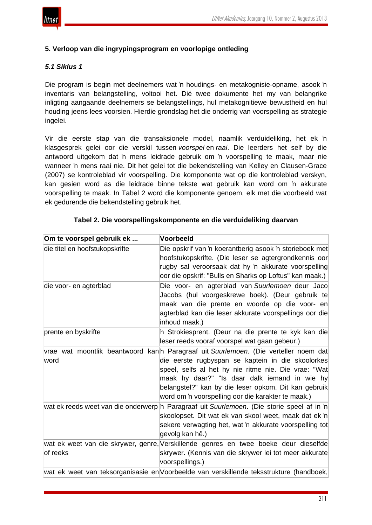

## **5. Verloop van die ingrypingsprogram en voorlopige ontleding**

## *5.1 Siklus 1*

Die program is begin met deelnemers wat 'n houdings- en metakognisie-opname, asook 'n inventaris van belangstelling, voltooi het. Dié twee dokumente het my van belangrike inligting aangaande deelnemers se belangstellings, hul metakognitiewe bewustheid en hul houding jeens lees voorsien. Hierdie grondslag het die onderrig van voorspelling as strategie ingelei.

Vir die eerste stap van die transaksionele model, naamlik verduideliking, het ek 'n klasgesprek gelei oor die verskil tussen *voorspel* en *raai*. Die leerders het self by die antwoord uitgekom dat 'n mens leidrade gebruik om 'n voorspelling te maak, maar nie wanneer 'n mens raai nie. Dit het gelei tot die bekendstelling van Kelley en Clausen-Grace (2007) se kontroleblad vir voorspelling. Die komponente wat op die kontroleblad verskyn, kan gesien word as die leidrade binne tekste wat gebruik kan word om 'n akkurate voorspelling te maak. In Tabel 2 word die komponente genoem, elk met die voorbeeld wat ek gedurende die bekendstelling gebruik het.

| Om te voorspel gebruik ek      | Voorbeeld                                                                                                                                                                                                                                                                                                                                                        |
|--------------------------------|------------------------------------------------------------------------------------------------------------------------------------------------------------------------------------------------------------------------------------------------------------------------------------------------------------------------------------------------------------------|
| die titel en hoofstukopskrifte | Die opskrif van 'n koerantberig asook 'n storieboek met<br>hoofstukopskrifte. (Die leser se agtergrondkennis oor<br>rugby sal veroorsaak dat hy 'n akkurate voorspelling<br>oor die opskrif: "Bulls en Sharks op Loftus" kan maak.)                                                                                                                              |
| die voor- en agterblad         | Die voor- en agterblad van Suurlemoen deur Jaco<br>Jacobs (hul voorgeskrewe boek). (Deur gebruik te<br>maak van die prente en woorde op die voor- en<br>agterblad kan die leser akkurate voorspellings oor die<br>inhoud maak.)                                                                                                                                  |
| prente en byskrifte            | n Strokiesprent. (Deur na die prente te kyk kan die<br>leser reeds vooraf voorspel wat gaan gebeur.)                                                                                                                                                                                                                                                             |
| word                           | vrae wat moontlik beantwoord kan'n Paragraaf uit Suurlemoen. (Die verteller noem dat<br>die eerste rugbyspan se kaptein in die skoolorkes<br>speel, selfs al het hy nie ritme nie. Die vrae: "Wat<br>maak hy daar?" "Is daar dalk iemand in wie hy<br>belangstel?" kan by die leser opkom. Dit kan gebruik<br>word om 'n voorspelling oor die karakter te maak.) |
|                                | wat ek reeds weet van die onderwerp n Paragraaf uit Suurlemoen. (Die storie speel af in 'n<br>skoolopset. Dit wat ek van skool weet, maak dat ek 'n<br>sekere verwagting het, wat 'n akkurate voorspelling tot<br>gevolg kan hê.)                                                                                                                                |
| of reeks                       | wat ek weet van die skrywer, genre, Verskillende genres en twee boeke deur dieselfde<br>skrywer. (Kennis van die skrywer lei tot meer akkurate<br>voorspellings.)                                                                                                                                                                                                |
|                                | wat ek weet van teksorganisasie en Voorbeelde van verskillende teksstrukture (handboek,                                                                                                                                                                                                                                                                          |

#### **Tabel 2. Die voorspellingskomponente en die verduideliking daarvan**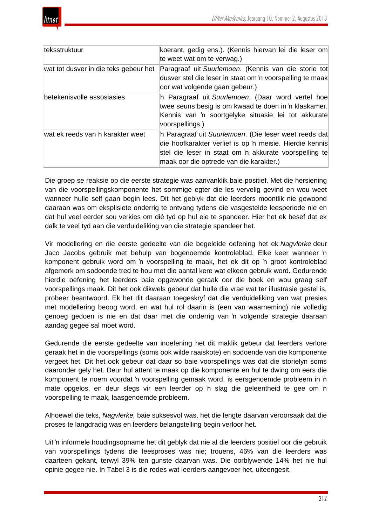| teksstruktuur                         | koerant, gedig ens.). (Kennis hiervan lei die leser om<br>te weet wat om te verwag.)                                                                                                                                   |
|---------------------------------------|------------------------------------------------------------------------------------------------------------------------------------------------------------------------------------------------------------------------|
| wat tot dusver in die teks gebeur het | Paragraaf uit Suurlemoen. (Kennis van die storie tot<br>dusver stel die leser in staat om 'n voorspelling te maak<br>oor wat volgende gaan gebeur.)                                                                    |
| betekenisvolle assosiasies            | n Paragraaf uit Suurlemoen. (Daar word vertel hoe<br>twee seuns besig is om kwaad te doen in 'n klaskamer.<br>Kennis van 'n soortgelyke situasie lei tot akkurate<br>voorspellings.)                                   |
| wat ek reeds van 'n karakter weet     | n Paragraaf uit Suurlemoen. (Die leser weet reeds dat<br>die hoofkarakter verlief is op 'n meisie. Hierdie kennis<br>stel die leser in staat om 'n akkurate voorspelling te<br>maak oor die optrede van die karakter.) |

Die groep se reaksie op die eerste strategie was aanvanklik baie positief. Met die hersiening van die voorspellingskomponente het sommige egter die les vervelig gevind en wou weet wanneer hulle self gaan begin lees. Dit het geblyk dat die leerders moontlik nie gewoond daaraan was om eksplisiete onderrig te ontvang tydens die vasgestelde leesperiode nie en dat hul veel eerder sou verkies om dié tyd op hul eie te spandeer. Hier het ek besef dat ek dalk te veel tyd aan die verduideliking van die strategie spandeer het.

Vir modellering en die eerste gedeelte van die begeleide oefening het ek *Nagvlerke* deur Jaco Jacobs gebruik met behulp van bogenoemde kontroleblad. Elke keer wanneer 'n komponent gebruik word om 'n voorspelling te maak, het ek dit op 'n groot kontroleblad afgemerk om sodoende tred te hou met die aantal kere wat elkeen gebruik word. Gedurende hierdie oefening het leerders baie opgewonde geraak oor die boek en wou graag self voorspellings maak. Dit het ook dikwels gebeur dat hulle die vrae wat ter illustrasie gestel is, probeer beantwoord. Ek het dit daaraan toegeskryf dat die verduideliking van wat presies met modellering beoog word, en wat hul rol daarin is (een van waarneming) nie volledig genoeg gedoen is nie en dat daar met die onderrig van 'n volgende strategie daaraan aandag gegee sal moet word.

Gedurende die eerste gedeelte van inoefening het dit maklik gebeur dat leerders verlore geraak het in die voorspellings (soms ook wilde raaiskote) en sodoende van die komponente vergeet het. Dit het ook gebeur dat daar so baie voorspellings was dat die storielyn soms daaronder gely het. Deur hul attent te maak op die komponente en hul te dwing om eers die komponent te noem voordat 'n voorspelling gemaak word, is eersgenoemde probleem in 'n mate opgelos, en deur slegs vir een leerder op 'n slag die geleentheid te gee om 'n voorspelling te maak, laasgenoemde probleem.

Alhoewel die teks, *Nagvlerke,* baie suksesvol was, het die lengte daarvan veroorsaak dat die proses te langdradig was en leerders belangstelling begin verloor het.

Uit 'n informele houdingsopname het dit geblyk dat nie al die leerders positief oor die gebruik van voorspellings tydens die leesproses was nie; trouens, 46% van die leerders was daarteen gekant, terwyl 39% ten gunste daarvan was. Die oorblywende 14% het nie hul opinie gegee nie. In Tabel 3 is die redes wat leerders aangevoer het, uiteengesit.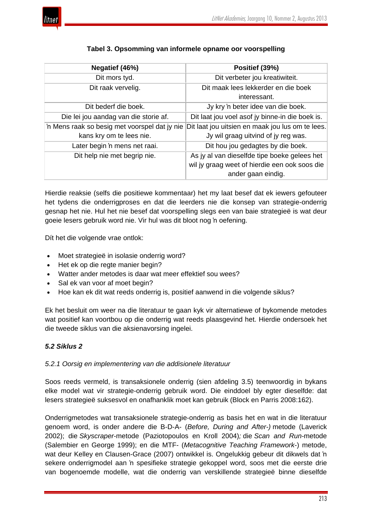

## **Tabel 3. Opsomming van informele opname oor voorspelling**

| Negatief (46%)                                | Positief (39%)                                   |
|-----------------------------------------------|--------------------------------------------------|
| Dit mors tyd.                                 | Dit verbeter jou kreatiwiteit.                   |
| Dit raak vervelig.                            | Dit maak lees lekkerder en die boek              |
|                                               | interessant.                                     |
| Dit bederf die boek.                          | Jy kry 'n beter idee van die boek.               |
| Die lei jou aandag van die storie af.         | Dit laat jou voel asof jy binne-in die boek is.  |
| 'n Mens raak so besig met voorspel dat jy nie | Dit laat jou uitsien en maak jou lus om te lees. |
| kans kry om te lees nie.                      | Jy wil graag uitvind of jy reg was.              |
| Later begin 'n mens net raai.                 | Dit hou jou gedagtes by die boek.                |
| Dit help nie met begrip nie.                  | As jy al van dieselfde tipe boeke gelees het     |
|                                               | wil jy graag weet of hierdie een ook soos die    |
|                                               | ander gaan eindig.                               |

Hierdie reaksie (selfs die positiewe kommentaar) het my laat besef dat ek iewers gefouteer het tydens die onderrigproses en dat die leerders nie die konsep van strategie-onderrig gesnap het nie. Hul het nie besef dat voorspelling slegs een van baie strategieë is wat deur goeie lesers gebruik word nie. Vir hul was dit bloot nog 'n oefening.

Dít het die volgende vrae ontlok:

- Moet strategieë in isolasie onderrig word?
- Het ek op die regte manier begin?
- Watter ander metodes is daar wat meer effektief sou wees?
- Sal ek van voor af moet begin?
- Hoe kan ek dit wat reeds onderrig is, positief aanwend in die volgende siklus?

Ek het besluit om weer na die literatuur te gaan kyk vir alternatiewe of bykomende metodes wat positief kan voortbou op die onderrig wat reeds plaasgevind het. Hierdie ondersoek het die tweede siklus van die aksienavorsing ingelei.

## *5.2 Siklus 2*

## *5.2.1 Oorsig en implementering van die addisionele literatuur*

Soos reeds vermeld, is transaksionele onderrig (sien afdeling 3.5) teenwoordig in bykans elke model wat vir strategie-onderrig gebruik word. Die einddoel bly egter dieselfde: dat lesers strategieë suksesvol en onafhanklik moet kan gebruik (Block en Parris 2008:162).

Onderrigmetodes wat transaksionele strategie-onderrig as basis het en wat in die literatuur genoem word, is onder andere die B-D-A- (*Before, During and After-)* metode (Laverick 2002); die *Skyscraper*-metode (Paziotopoulos en Kroll 2004)*;* die *Scan and Run-*metode (Salembier en George 1999); en die MTF- (*Metacognitive Teaching Framework*-) metode, wat deur Kelley en Clausen-Grace (2007) ontwikkel is. Ongelukkig gebeur dit dikwels dat 'n sekere onderrigmodel aan 'n spesifieke strategie gekoppel word, soos met die eerste drie van bogenoemde modelle, wat die onderrig van verskillende strategieë binne dieselfde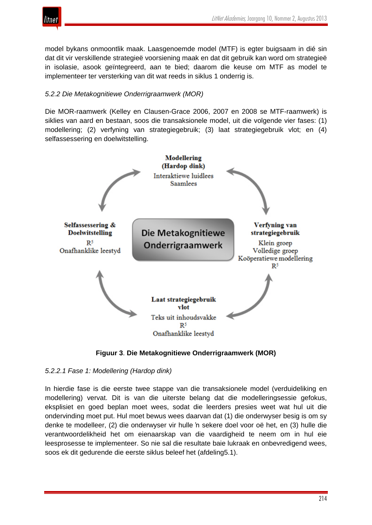

model bykans onmoontlik maak. Laasgenoemde model (MTF) is egter buigsaam in dié sin dat dit vir verskillende strategieë voorsiening maak en dat dit gebruik kan word om strategieë in isolasie, asook geïntegreerd, aan te bied; daarom die keuse om MTF as model te implementeer ter versterking van dit wat reeds in siklus 1 onderrig is.

## *5.2.2 Die Metakognitiewe Onderrigraamwerk (MOR)*

Die MOR-raamwerk (Kelley en Clausen-Grace 2006, 2007 en 2008 se MTF-raamwerk) is siklies van aard en bestaan, soos die transaksionele model, uit die volgende vier fases: (1) modellering; (2) verfyning van strategiegebruik; (3) laat strategiegebruik vlot; en (4) selfassessering en doelwitstelling.



**Figuur 3**. **Die Metakognitiewe Onderrigraamwerk (MOR)**

*5.2.2.1 Fase 1: Modellering (Hardop dink)*

In hierdie fase is die eerste twee stappe van die transaksionele model (verduideliking en modellering) vervat. Dit is van die uiterste belang dat die modelleringsessie gefokus, eksplisiet en goed beplan moet wees, sodat die leerders presies weet wat hul uit die ondervinding moet put. Hul moet bewus wees daarvan dat (1) die onderwyser besig is om sy denke te modelleer, (2) die onderwyser vir hulle 'n sekere doel voor oë het, en (3) hulle die verantwoordelikheid het om eienaarskap van die vaardigheid te neem om in hul eie leesprosesse te implementeer. So nie sal die resultate baie lukraak en onbevredigend wees, soos ek dit gedurende die eerste siklus beleef het (afdeling5.1).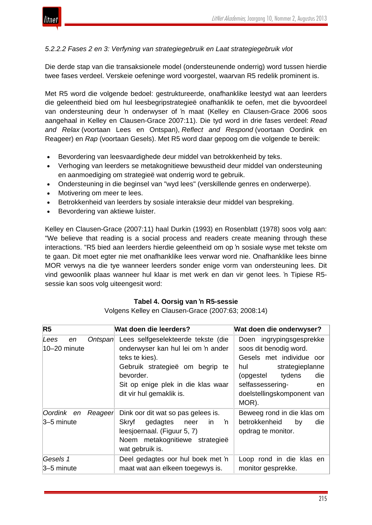

## *5.2.2.2 Fases 2 en 3: Verfyning van strategiegebruik en Laat strategiegebruik vlot*

Die derde stap van die transaksionele model (ondersteunende onderrig) word tussen hierdie twee fases verdeel. Verskeie oefeninge word voorgestel, waarvan R5 redelik prominent is.

Met R5 word die volgende bedoel: gestruktureerde, onafhanklike leestyd wat aan leerders die geleentheid bied om hul leesbegripstrategieë onafhanklik te oefen, met die byvoordeel van ondersteuning deur 'n onderwyser of 'n maat (Kelley en Clausen-Grace 2006 soos aangehaal in Kelley en Clausen-Grace 2007:11). Die tyd word in drie fases verdeel: *Read and Relax* (voortaan Lees en Ontspan), *Reflect and Respond* (voortaan Oordink en Reageer) en *Rap* (voortaan Gesels). Met R5 word daar gepoog om die volgende te bereik:

- Bevordering van leesvaardighede deur middel van betrokkenheid by teks.
- Verhoging van leerders se metakognitiewe bewustheid deur middel van ondersteuning en aanmoediging om strategieë wat onderrig word te gebruik.
- Ondersteuning in die beginsel van "wyd lees" (verskillende genres en onderwerpe).
- Motivering om meer te lees.
- Betrokkenheid van leerders by sosiale interaksie deur middel van bespreking.
- Bevordering van aktiewe luister.

Kelley en Clausen-Grace (2007:11) haal Durkin (1993) en Rosenblatt (1978) soos volg aan: "We believe that reading is a social process and readers create meaning through these interactions. "R5 bied aan leerders hierdie geleentheid om op 'n sosiale wyse met tekste om te gaan. Dit moet egter nie met onafhanklike lees verwar word nie. Onafhanklike lees binne MOR verwys na die tye wanneer leerders sonder enige vorm van ondersteuning lees. Dit vind gewoonlik plaas wanneer hul klaar is met werk en dan vir genot lees. 'n Tipiese R5 sessie kan soos volg uiteengesit word:

## **Tabel 4. Oorsig van 'n R5-sessie**

Volgens Kelley en Clausen-Grace (2007:63; 2008:14)

| R <sub>5</sub>             | Wat doen die leerders?                                                                                                                                                                                                  | Wat doen die onderwyser?                                                                                                                                                                                                                                                                                                                                                                                                           |
|----------------------------|-------------------------------------------------------------------------------------------------------------------------------------------------------------------------------------------------------------------------|------------------------------------------------------------------------------------------------------------------------------------------------------------------------------------------------------------------------------------------------------------------------------------------------------------------------------------------------------------------------------------------------------------------------------------|
| Lees<br>en<br>10-20 minute | Lees selfgeselekteerde tekste (die<br>Ontspan<br>onderwyser kan hul lei om 'n ander<br>teks te kies).<br>Gebruik strategieë om begrip te<br>bevorder.<br>Sit op enige plek in die klas waar<br>dit vir hul gemaklik is. | Doen ingrypingsgesprekke<br>soos dit benodig word.<br>Gesels met individue oor<br>strategieplanne<br>hul the second the second second the second second second second second second second second second second second second second second second second second second second second second second second second second second sec<br>tydens<br>die<br>(opgestel<br>selfassessering-<br>en<br>doelstellingskomponent van<br>MOR). |
| Oordink en<br>3–5 minute   | Dink oor dit wat so pas gelees is.<br>Reageer<br>n n<br>gedagtes<br>Skryf<br>in.<br>neer<br>leesjoernaal. (Figuur 5, 7)<br>Noem metakognitiewe strategieë<br>wat gebruik is.                                            | Beweeg rond in die klas om<br>betrokkenheid<br>die<br>by<br>opdrag te monitor.                                                                                                                                                                                                                                                                                                                                                     |
| Gesels 1<br>3–5 minute     | Deel gedagtes oor hul boek met 'n<br>maat wat aan elkeen toegewys is.                                                                                                                                                   | Loop rond in die klas en<br>monitor gesprekke.                                                                                                                                                                                                                                                                                                                                                                                     |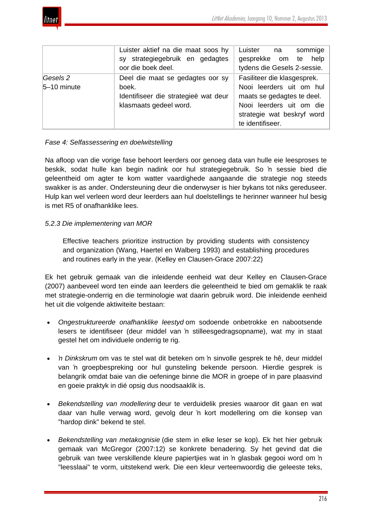

|                         | Luister aktief na die maat soos hy<br>sy strategiegebruik en gedagtes<br>oor die boek deel.                 | sommige<br>Luister<br>na<br>gesprekke om te help<br>tydens die Gesels 2-sessie.                                                                                     |
|-------------------------|-------------------------------------------------------------------------------------------------------------|---------------------------------------------------------------------------------------------------------------------------------------------------------------------|
| Gesels 2<br>5-10 minute | Deel die maat se gedagtes oor sy<br>boek.<br>Identifiseer die strategieë wat deur<br>klasmaats gedeel word. | Fasiliteer die klasgesprek.<br>Nooi leerders uit om hul<br>maats se gedagtes te deel.<br>Nooi leerders uit om die<br>strategie wat beskryf word<br>te identifiseer. |

## *Fase 4: Selfassessering en doelwitstelling*

Na afloop van die vorige fase behoort leerders oor genoeg data van hulle eie leesproses te beskik, sodat hulle kan begin nadink oor hul strategiegebruik. So 'n sessie bied die geleentheid om agter te kom watter vaardighede aangaande die strategie nog steeds swakker is as ander. Ondersteuning deur die onderwyser is hier bykans tot niks gereduseer. Hulp kan wel verleen word deur leerders aan hul doelstellings te herinner wanneer hul besig is met R5 of onafhanklike lees.

## *5.2.3 Die implementering van MOR*

Effective teachers prioritize instruction by providing students with consistency and organization (Wang, Haertel en Walberg 1993) and establishing procedures and routines early in the year. (Kelley en Clausen-Grace 2007:22)

Ek het gebruik gemaak van die inleidende eenheid wat deur Kelley en Clausen-Grace (2007) aanbeveel word ten einde aan leerders die geleentheid te bied om gemaklik te raak met strategie-onderrig en die terminologie wat daarin gebruik word. Die inleidende eenheid het uit die volgende aktiwiteite bestaan:

- *Ongestruktureerde onafhanklike leestyd* om sodoende onbetrokke en nabootsende lesers te identifiseer (deur middel van 'n stilleesgedragsopname), wat my in staat gestel het om individuele onderrig te rig.
- *'n Dinkskrum* om vas te stel wat dit beteken om 'n sinvolle gesprek te hê, deur middel van 'n groepbespreking oor hul gunsteling bekende persoon. Hierdie gesprek is belangrik omdat baie van die oefeninge binne die MOR in groepe of in pare plaasvind en goeie praktyk in dié opsig dus noodsaaklik is.
- *Bekendstelling van modellering* deur te verduidelik presies waaroor dit gaan en wat daar van hulle verwag word, gevolg deur 'n kort modellering om die konsep van "hardop dink" bekend te stel.
- *Bekendstelling van metakognisie* (die stem in elke leser se kop). Ek het hier gebruik gemaak van McGregor (2007:12) se konkrete benadering. Sy het gevind dat die gebruik van twee verskillende kleure papiertjies wat in 'n glasbak gegooi word om 'n "leesslaai" te vorm, uitstekend werk. Die een kleur verteenwoordig die geleeste teks,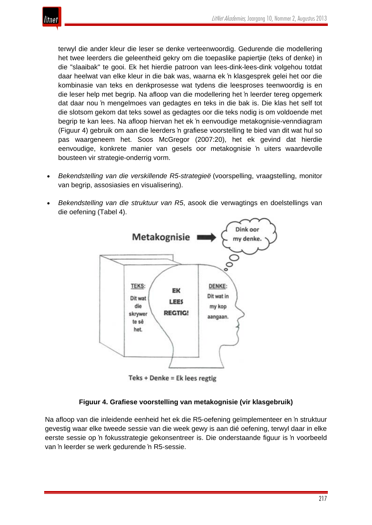

terwyl die ander kleur die leser se denke verteenwoordig. Gedurende die modellering het twee leerders die geleentheid gekry om die toepaslike papiertjie (teks of denke) in die "slaaibak" te gooi. Ek het hierdie patroon van lees-dink-lees-dink volgehou totdat daar heelwat van elke kleur in die bak was, waarna ek 'n klasgesprek gelei het oor die kombinasie van teks en denkprosesse wat tydens die leesproses teenwoordig is en die leser help met begrip. Na afloop van die modellering het 'n leerder tereg opgemerk dat daar nou 'n mengelmoes van gedagtes en teks in die bak is. Die klas het self tot die slotsom gekom dat teks sowel as gedagtes oor die teks nodig is om voldoende met begrip te kan lees. Na afloop hiervan het ek 'n eenvoudige metakognisie-venndiagram (Figuur 4) gebruik om aan die leerders 'n grafiese voorstelling te bied van dit wat hul so pas waargeneem het. Soos McGregor (2007:20), het ek gevind dat hierdie eenvoudige, konkrete manier van gesels oor metakognisie 'n uiters waardevolle bousteen vir strategie-onderrig vorm.

- *Bekendstelling van die verskillende R5-strategieë* (voorspelling, vraagstelling, monitor van begrip, assosiasies en visualisering).
- *Bekendstelling van die struktuur van R5*, asook die verwagtings en doelstellings van die oefening (Tabel 4).



Teks + Denke = Ek lees regtig

## **Figuur 4. Grafiese voorstelling van metakognisie (vir klasgebruik)**

Na afloop van die inleidende eenheid het ek die R5-oefening geïmplementeer en 'n struktuur gevestig waar elke tweede sessie van die week gewy is aan dié oefening, terwyl daar in elke eerste sessie op 'n fokusstrategie gekonsentreer is. Die onderstaande figuur is 'n voorbeeld van 'n leerder se werk gedurende 'n R5-sessie.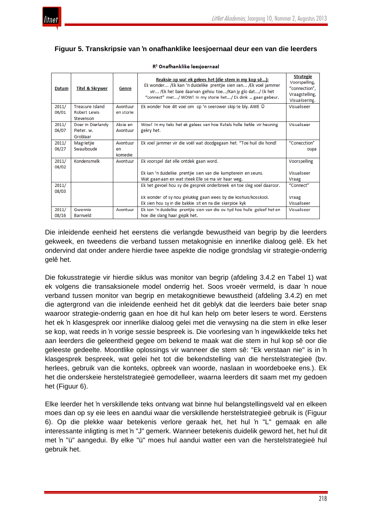## **Figuur 5. Transkripsie van 'n onafhanklike leesjoernaal deur een van die leerders**

| <b>Datum</b> | <b>Titel &amp; Skrywer</b> | Genre     | Reaksie op wat ek gelees het (die stem in my kop sê):<br>Ek wonder /Ek kan 'n duidelike prentjie sien van /Ek voel jammer<br>vir /Ek het baie daarvan gehou toe/Kan jy glo dat/ Ek het<br>"connect" met/ WOW! In my storie het/ Ek dink  gaan gebeur. | <b>Strategie</b><br>Voorspelling,<br>"connection",<br>Vraagstelling,<br>Visualisering. |
|--------------|----------------------------|-----------|-------------------------------------------------------------------------------------------------------------------------------------------------------------------------------------------------------------------------------------------------------|----------------------------------------------------------------------------------------|
| 2011/        | <b>Treasure Island</b>     | Avontuur  | Ek wonder hoe dit voel om op 'n seerower skip te bly. AWE @                                                                                                                                                                                           | Visualiseer                                                                            |
| 06/01        | Robert Lewis               | en storie |                                                                                                                                                                                                                                                       |                                                                                        |
|              | Stevenson                  |           |                                                                                                                                                                                                                                                       |                                                                                        |
| 2011/        | Doer in Dierlandy          | Aksie en  | Wow! In my teks het ek gelees van hoe Ratels hulle liefde vir heuning                                                                                                                                                                                 | Visualiseer                                                                            |
| 06/07        | Pieter, w.                 | Avontuur  | gekry het.                                                                                                                                                                                                                                            |                                                                                        |
|              | Groblaar                   |           |                                                                                                                                                                                                                                                       |                                                                                        |
| 2011/        | Magrietjie                 | Avontuur  | Ek voel jammer vir die voël wat doodgegaan het. "Toe huil die hond!                                                                                                                                                                                   | "Conecction"                                                                           |
| 06/27        | Swaaiboude                 | en        |                                                                                                                                                                                                                                                       | oupa                                                                                   |
|              |                            | komedie   |                                                                                                                                                                                                                                                       |                                                                                        |
| 2011/        | Kondensmelk                | Avontuur  | Ek voorspel dat elle ontdek gaan word.                                                                                                                                                                                                                | Voorspelling                                                                           |
| 08/02        |                            |           |                                                                                                                                                                                                                                                       |                                                                                        |
|              |                            |           | Ek kan 'n duidelike prentjie sien van die kampterein en seuns.                                                                                                                                                                                        | Visualiseer                                                                            |
|              |                            |           | Wat gaan aan en wat steek Elle se ma vir haar weg.                                                                                                                                                                                                    | Vraag                                                                                  |
| 2011/        |                            |           | Ek het gevoel hou sy die gesprek onderbreek en toe sleg voel daaroor.                                                                                                                                                                                 | "Connect"                                                                              |
| 08/03        |                            |           |                                                                                                                                                                                                                                                       |                                                                                        |
|              |                            |           | Ek wonder of sy nou gelukkig gaan wees by die koshuis/kosskool.                                                                                                                                                                                       | Vraag                                                                                  |
|              |                            |           | Ek sien hou sy in die bakkie sit en na die skerpioe kyk                                                                                                                                                                                               | Visualiseer                                                                            |
| 2011/        | Gwennie                    | Avontuur  | Ek kon 'n duidelike prentjie sien van die ou tyd hoe hulle geleef het en                                                                                                                                                                              | Visualiseer                                                                            |
| 08/16        | Barnveld                   |           | hoe die slang haar gepik het.                                                                                                                                                                                                                         |                                                                                        |

#### R<sup>5</sup> Onafhanklike leesjoernaal

Die inleidende eenheid het eerstens die verlangde bewustheid van begrip by die leerders gekweek, en tweedens die verband tussen metakognisie en innerlike dialoog gelê. Ek het ondervind dat onder andere hierdie twee aspekte die nodige grondslag vir strategie-onderrig gelê het.

Die fokusstrategie vir hierdie siklus was monitor van begrip (afdeling 3.4.2 en Tabel 1) wat ek volgens die transaksionele model onderrig het. Soos vroeër vermeld, is daar 'n noue verband tussen monitor van begrip en metakognitiewe bewustheid (afdeling 3.4.2) en met die agtergrond van die inleidende eenheid het dit geblyk dat die leerders baie beter snap waaroor strategie-onderrig gaan en hoe dit hul kan help om beter lesers te word. Eerstens het ek 'n klasgesprek oor innerlike dialoog gelei met die verwysing na die stem in elke leser se kop, wat reeds in 'n vorige sessie bespreek is. Die voorlesing van 'n ingewikkelde teks het aan leerders die geleentheid gegee om bekend te maak wat die stem in hul kop sê oor die geleeste gedeelte. Moontlike oplossings vir wanneer die stem sê: "Ek verstaan nie" is in 'n klasgesprek bespreek, wat gelei het tot die bekendstelling van die herstelstrategieë (bv. herlees, gebruik van die konteks, opbreek van woorde, naslaan in woordeboeke ens.). Ek het die onderskeie herstelstrategieë gemodelleer, waarna leerders dit saam met my gedoen het (Figuur 6).

Elke leerder het 'n verskillende teks ontvang wat binne hul belangstellingsveld val en elkeen moes dan op sy eie lees en aandui waar die verskillende herstelstrategieë gebruik is (Figuur 6). Op die plekke waar betekenis verlore geraak het, het hul 'n "L" gemaak en alle interessante inligting is met 'n "J" gemerk. Wanneer betekenis duidelik geword het, het hul dit met 'n "ü" aangedui. By elke "ü" moes hul aandui watter een van die herstelstrategieë hul gebruik het.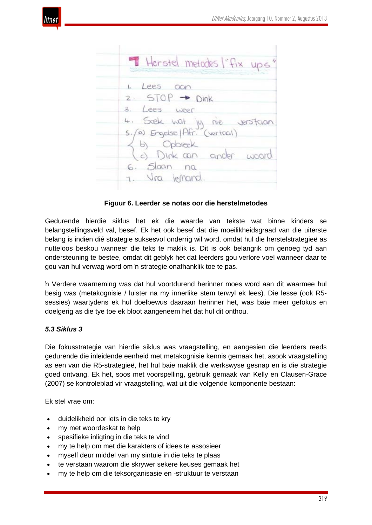

Herstel metodes l'fix ups Lees oon  $5TOP - Dink$ Lees weer scek wat M Ne (a) Engelse | Afr. (vertool b) Opbreek Slaan na  $6.$ Vra jefnand

**Figuur 6. Leerder se notas oor die herstelmetodes**

Gedurende hierdie siklus het ek die waarde van tekste wat binne kinders se belangstellingsveld val, besef. Ek het ook besef dat die moeilikheidsgraad van die uiterste belang is indien dié strategie suksesvol onderrig wil word, omdat hul die herstelstrategieë as nutteloos beskou wanneer die teks te maklik is. Dit is ook belangrik om genoeg tyd aan ondersteuning te bestee, omdat dit geblyk het dat leerders gou verlore voel wanneer daar te gou van hul verwag word om 'n strategie onafhanklik toe te pas.

'n Verdere waarneming was dat hul voortdurend herinner moes word aan dit waarmee hul besig was (metakognisie / luister na my innerlike stem terwyl ek lees). Die lesse (ook R5 sessies) waartydens ek hul doelbewus daaraan herinner het, was baie meer gefokus en doelgerig as die tye toe ek bloot aangeneem het dat hul dit onthou.

## *5.3 Siklus 3*

Die fokusstrategie van hierdie siklus was vraagstelling, en aangesien die leerders reeds gedurende die inleidende eenheid met metakognisie kennis gemaak het, asook vraagstelling as een van die R5-strategieë, het hul baie maklik die werkswyse gesnap en is die strategie goed ontvang. Ek het, soos met voorspelling, gebruik gemaak van Kelly en Clausen-Grace (2007) se kontroleblad vir vraagstelling, wat uit die volgende komponente bestaan:

Ek stel vrae om:

- duidelikheid oor iets in die teks te kry
- my met woordeskat te help
- spesifieke inligting in die teks te vind
- my te help om met die karakters of idees te assosieer
- myself deur middel van my sintuie in die teks te plaas
- te verstaan waarom die skrywer sekere keuses gemaak het
- my te help om die teksorganisasie en -struktuur te verstaan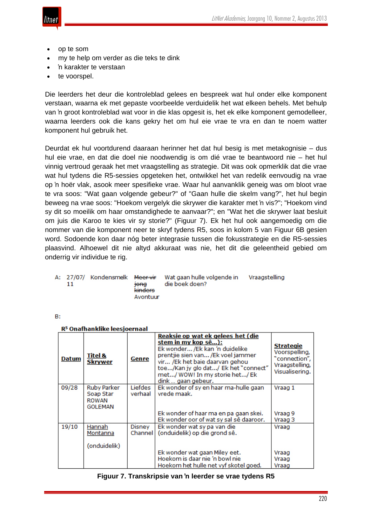

- op te som
- my te help om verder as die teks te dink
- 'n karakter te verstaan
- te voorspel.

Die leerders het deur die kontroleblad gelees en bespreek wat hul onder elke komponent verstaan, waarna ek met gepaste voorbeelde verduidelik het wat elkeen behels. Met behulp van 'n groot kontroleblad wat voor in die klas opgesit is, het ek elke komponent gemodelleer, waarna leerders ook die kans gekry het om hul eie vrae te vra en dan te noem watter komponent hul gebruik het.

Deurdat ek hul voortdurend daaraan herinner het dat hul besig is met metakognisie – dus hul eie vrae, en dat die doel nie noodwendig is om dié vrae te beantwoord nie – het hul vinnig vertroud geraak het met vraagstelling as strategie. Dit was ook opmerklik dat die vrae wat hul tydens die R5-sessies opgeteken het, ontwikkel het van redelik eenvoudig na vrae op 'n hoër vlak, asook meer spesifieke vrae. Waar hul aanvanklik geneig was om bloot vrae te vra soos: "Wat gaan volgende gebeur?" of "Gaan hulle die skelm vang?", het hul begin beweeg na vrae soos: "Hoekom vergelyk die skrywer die karakter met 'n vis?"; "Hoekom vind sy dit so moeilik om haar omstandighede te aanvaar?"; en "Wat het die skrywer laat besluit om juis die Karoo te kies vir sy storie?" (Figuur 7). Ek het hul ook aangemoedig om die nommer van die komponent neer te skryf tydens R5, soos in kolom 5 van Figuur 6B gesien word. Sodoende kon daar nóg beter integrasie tussen die fokusstrategie en die R5-sessies plaasvind. Alhoewel dit nie altyd akkuraat was nie, het dit die geleentheid gebied om onderrig vir individue te rig.

|  |  |  | <del>tona</del><br>kinders<br>Avontuur | A: 27/07/ Kondensmelk <del>Meer vir</del> Wat gaan hulle volgende in<br>die boek doen? | Vraagstelling |
|--|--|--|----------------------------------------|----------------------------------------------------------------------------------------|---------------|
|--|--|--|----------------------------------------|----------------------------------------------------------------------------------------|---------------|

**B:** 

|  | R <sup>5</sup> Onafhanklike leesjoernaal |
|--|------------------------------------------|
|  |                                          |

|              | R- Olialilaliklike leesjõelilaal                                                                                                                                                                                                                                                                                          |                          |                                                                                                          |                         |  |  |
|--------------|---------------------------------------------------------------------------------------------------------------------------------------------------------------------------------------------------------------------------------------------------------------------------------------------------------------------------|--------------------------|----------------------------------------------------------------------------------------------------------|-------------------------|--|--|
| <b>Datum</b> | Reaksie op wat ek gelees het (die<br>stem in my kop sê):<br>Ek wonder /Ek kan 'n duidelike<br>prentjie sien van /Ek voel jammer<br><u>Titel &amp;</u><br><u>Genre</u><br><b>Skrywer</b><br>vir /Ek het baie daarvan gehou<br>toe/Kan jy glo dat/ Ek het "connect"<br>met/ WOW! In my storie het/ Ek<br>dink  gaan gebeur. |                          | <b>Strategie</b><br>Voorspelling,<br>"connection",<br>Vraagstelling,<br>Visualisering.                   |                         |  |  |
| 09/28        | Ruby Parker<br>Soap Star<br><b>ROWAN</b><br>GOLEMAN                                                                                                                                                                                                                                                                       | Liefdes<br>verhaal       | Ek wonder of sy en haar ma-hulle gaan<br>vrede maak.                                                     | Vraag 1                 |  |  |
|              |                                                                                                                                                                                                                                                                                                                           |                          | Ek wonder of haar ma en pa gaan skei.<br>Ek wonder oor of wat sy sal sê daaroor.                         | Vraag 9<br>Vraag 3      |  |  |
| 19/10        | Hannah<br>Montanna<br>(onduidelik)                                                                                                                                                                                                                                                                                        | <b>Disney</b><br>Channel | Ek wonder wat sy pa van die<br>(onduidelik) op die grond sê.                                             | Vraag                   |  |  |
|              |                                                                                                                                                                                                                                                                                                                           |                          | Ek wonder wat gaan Miley eet.<br>Hoekom is daar nie 'n bowl nie<br>Hoekom het hulle net vyf skotel goed. | Vraag<br>Vraag<br>Vraag |  |  |

| Figuur 7. Transkripsie van 'n leerder se vrae tydens R5 |  |  |  |  |  |
|---------------------------------------------------------|--|--|--|--|--|
|---------------------------------------------------------|--|--|--|--|--|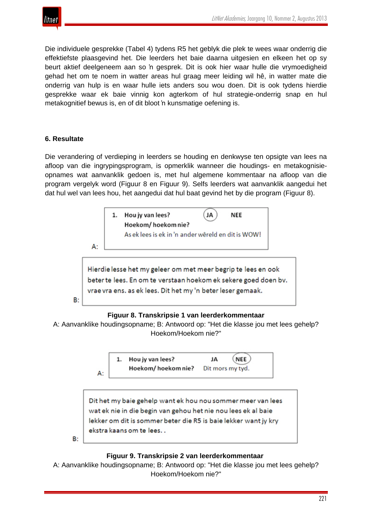

Die individuele gesprekke (Tabel 4) tydens R5 het geblyk die plek te wees waar onderrig die effektiefste plaasgevind het. Die leerders het baie daarna uitgesien en elkeen het op sy beurt aktief deelgeneem aan so 'n gesprek. Dit is ook hier waar hulle die vrymoedigheid gehad het om te noem in watter areas hul graag meer leiding wil hê, in watter mate die onderrig van hulp is en waar hulle iets anders sou wou doen. Dit is ook tydens hierdie gesprekke waar ek baie vinnig kon agterkom of hul strategie-onderrig snap en hul metakognitief bewus is, en of dit bloot 'n kunsmatige oefening is.

## **6. Resultate**

Die verandering of verdieping in leerders se houding en denkwyse ten opsigte van lees na afloop van die ingrypingsprogram, is opmerklik wanneer die houdings- en metakognisieopnames wat aanvanklik gedoen is, met hul algemene kommentaar na afloop van die program vergelyk word (Figuur 8 en Figuur 9). Selfs leerders wat aanvanklik aangedui het dat hul wel van lees hou, het aangedui dat hul baat gevind het by die program (Figuur 8).



## **Figuur 8. Transkripsie 1 van leerderkommentaar**

A: Aanvanklike houdingsopname; B: Antwoord op: "Het die klasse jou met lees gehelp? Hoekom/Hoekom nie?"





## **Figuur 9. Transkripsie 2 van leerderkommentaar**

A: Aanvanklike houdingsopname; B: Antwoord op: "Het die klasse jou met lees gehelp? Hoekom/Hoekom nie?"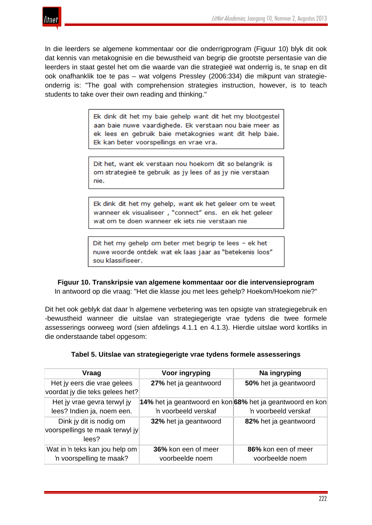

In die leerders se algemene kommentaar oor die onderrigprogram (Figuur 10) blyk dit ook dat kennis van metakognisie en die bewustheid van begrip die grootste persentasie van die leerders in staat gestel het om die waarde van die strategieë wat onderrig is, te snap en dit ook onafhanklik toe te pas – wat volgens Pressley (2006:334) die mikpunt van strategieonderrig is: "The goal with comprehension strategies instruction, however, is to teach students to take over their own reading and thinking."

> Ek dink dit het my baie gehelp want dit het my blootgestel aan baie nuwe vaardighede. Ek verstaan nou baie meer as ek lees en gebruik baie metakognies want dit help baie. Ek kan beter voorspellings en vrae vra.

Dit het, want ek verstaan nou hoekom dit so belangrik is om strategieë te gebruik as jy lees of as jy nie verstaan nie.

Ek dink dit het my gehelp, want ek het geleer om te weet wanneer ek visualiseer, "connect" ens. en ek het geleer wat om te doen wanneer ek iets nie verstaan nie

Dit het my gehelp om beter met begrip te lees - ek het nuwe woorde ontdek wat ek laas jaar as "betekenis loos" sou klassifiseer.

**Figuur 10. Transkripsie van algemene kommentaar oor die intervensieprogram**

In antwoord op die vraag: "Het die klasse jou met lees gehelp? Hoekom/Hoekom nie?"

Dit het ook geblyk dat daar 'n algemene verbetering was ten opsigte van strategiegebruik en -bewustheid wanneer die uitslae van strategiegerigte vrae tydens die twee formele assesserings oorweeg word (sien afdelings 4.1.1 en 4.1.3). Hierdie uitslae word kortliks in die onderstaande tabel opgesom:

| Tabel 5. Uitslae van strategiegerigte vrae tydens formele assesserings |  |
|------------------------------------------------------------------------|--|
|------------------------------------------------------------------------|--|

| <b>Vraag</b>                    | Voor ingryping                                            | Na ingryping          |
|---------------------------------|-----------------------------------------------------------|-----------------------|
| Het jy eers die vrae gelees     | 27% het ja geantwoord                                     | 50% het ja geantwoord |
| voordat jy die teks gelees het? |                                                           |                       |
| Het jy vrae gevra terwyl jy     | 14% het ja geantwoord en kon 68% het ja geantwoord en kon |                       |
| lees? Indien ja, noem een.      | 'n voorbeeld verskaf                                      | 'n voorbeeld verskaf  |
| Dink jy dit is nodig om         | 32% het ja geantwoord                                     | 82% het ja geantwoord |
| voorspellings te maak terwyl jy |                                                           |                       |
| lees?                           |                                                           |                       |
| Wat in 'n teks kan jou help om  | 36% kon een of meer                                       | 86% kon een of meer   |
| 'n voorspelling te maak?        | voorbeelde noem                                           | voorbeelde noem       |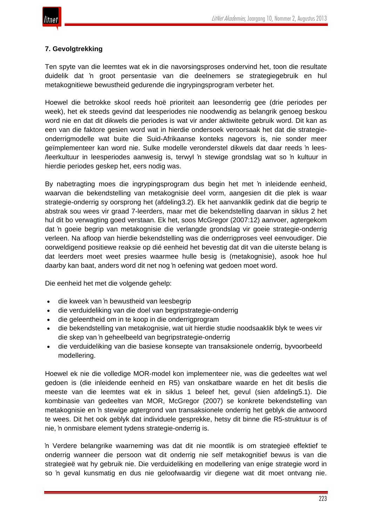

## **7. Gevolgtrekking**

Ten spyte van die leemtes wat ek in die navorsingsproses ondervind het, toon die resultate duidelik dat 'n groot persentasie van die deelnemers se strategiegebruik en hul metakognitiewe bewustheid gedurende die ingrypingsprogram verbeter het.

Hoewel die betrokke skool reeds hoë prioriteit aan leesonderrig gee (drie periodes per week), het ek steeds gevind dat leesperiodes nie noodwendig as belangrik genoeg beskou word nie en dat dit dikwels die periodes is wat vir ander aktiwiteite gebruik word. Dit kan as een van die faktore gesien word wat in hierdie ondersoek veroorsaak het dat die strategieonderrigmodelle wat buite die Suid-Afrikaanse konteks nagevors is, nie sonder meer geïmplementeer kan word nie. Sulke modelle veronderstel dikwels dat daar reeds 'n lees- /leerkultuur in leesperiodes aanwesig is, terwyl 'n stewige grondslag wat so 'n kultuur in hierdie periodes geskep het, eers nodig was.

By nabetragting moes die ingrypingsprogram dus begin het met 'n inleidende eenheid, waarvan die bekendstelling van metakognisie deel vorm, aangesien dit die plek is waar strategie-onderrig sy oorsprong het (afdeling3.2). Ek het aanvanklik gedink dat die begrip te abstrak sou wees vir graad 7-leerders, maar met die bekendstelling daarvan in siklus 2 het hul dit bo verwagting goed verstaan. Ek het, soos McGregor (2007:12) aanvoer, agtergekom dat 'n goeie begrip van metakognisie die verlangde grondslag vir goeie strategie-onderrig verleen. Na afloop van hierdie bekendstelling was die onderrigproses veel eenvoudiger. Die oorweldigend positiewe reaksie op dié eenheid het bevestig dat dit van die uiterste belang is dat leerders moet weet presies waarmee hulle besig is (metakognisie), asook hoe hul daarby kan baat, anders word dit net nog 'n oefening wat gedoen moet word.

Die eenheid het met die volgende gehelp:

- die kweek van 'n bewustheid van leesbegrip
- die verduideliking van die doel van begripstrategie-onderrig
- die geleentheid om in te koop in die onderrigprogram
- die bekendstelling van metakognisie, wat uit hierdie studie noodsaaklik blyk te wees vir die skep van 'n geheelbeeld van begripstrategie-onderrig
- die verduideliking van die basiese konsepte van transaksionele onderrig, byvoorbeeld modellering.

Hoewel ek nie die volledige MOR-model kon implementeer nie, was die gedeeltes wat wel gedoen is (die inleidende eenheid en R5) van onskatbare waarde en het dit beslis die meeste van die leemtes wat ek in siklus 1 beleef het, gevul (sien afdeling5.1). Die kombinasie van gedeeltes van MOR, McGregor (2007) se konkrete bekendstelling van metakognisie en 'n stewige agtergrond van transaksionele onderrig het geblyk die antwoord te wees. Dit het ook geblyk dat individuele gesprekke, hetsy dit binne die R5-struktuur is of nie, 'n onmisbare element tydens strategie-onderrig is.

'n Verdere belangrike waarneming was dat dit nie moontlik is om strategieë effektief te onderrig wanneer die persoon wat dit onderrig nie self metakognitief bewus is van die strategieë wat hy gebruik nie. Die verduideliking en modellering van enige strategie word in so 'n geval kunsmatig en dus nie geloofwaardig vir diegene wat dit moet ontvang nie.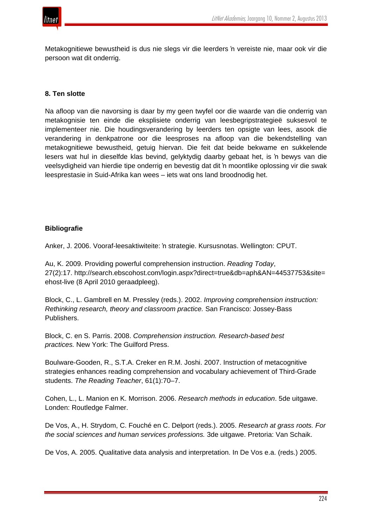

Metakognitiewe bewustheid is dus nie slegs vir die leerders 'n vereiste nie, maar ook vir die persoon wat dit onderrig.

## **8. Ten slotte**

Na afloop van die navorsing is daar by my geen twyfel oor die waarde van die onderrig van metakognisie ten einde die eksplisiete onderrig van leesbegripstrategieë suksesvol te implementeer nie. Die houdingsverandering by leerders ten opsigte van lees, asook die verandering in denkpatrone oor die leesproses na afloop van die bekendstelling van metakognitiewe bewustheid, getuig hiervan. Die feit dat beide bekwame en sukkelende lesers wat hul in dieselfde klas bevind, gelyktydig daarby gebaat het, is 'n bewys van die veelsydigheid van hierdie tipe onderrig en bevestig dat dit 'n moontlike oplossing vir die swak leesprestasie in Suid-Afrika kan wees – iets wat ons land broodnodig het.

## **Bibliografie**

Anker, J. 2006. Vooraf-leesaktiwiteite: 'n strategie. Kursusnotas. Wellington: CPUT.

Au, K. 2009. Providing powerful comprehension instruction. *Reading Today*, 27(2):17. http://search.ebscohost.com/login.aspx?direct=true&db=aph&AN=44537753&site= ehost-live (8 April 2010 geraadpleeg).

Block, C., L. Gambrell en M. Pressley (reds.). 2002. *Improving comprehension instruction: Rethinking research, theory and classroom practice.* San Francisco: Jossey-Bass Publishers.

Block, C. en S. Parris. 2008. *Comprehension instruction. Research-based best practices.* New York: The Guilford Press.

Boulware-Gooden, R., S.T.A. Creker en R.M. Joshi. 2007. Instruction of metacognitive strategies enhances reading comprehension and vocabulary achievement of Third-Grade students. *The Reading Teacher*, 61(1):70–7.

Cohen, L., L. Manion en K. Morrison. 2006. *Research methods in education*. 5de uitgawe. Londen: Routledge Falmer.

De Vos, A., H. Strydom, C. Fouché en C. Delport (reds.). 2005. *Research at grass roots. For the social sciences and human services professions.* 3de uitgawe. Pretoria: Van Schaik.

De Vos, A. 2005. Qualitative data analysis and interpretation. In De Vos e.a. (reds.) 2005.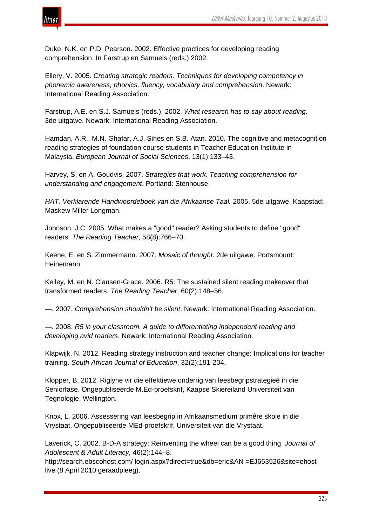

Duke, N.K. en P.D. Pearson. 2002. Effective practices for developing reading comprehension. In Farstrup en Samuels (reds.) 2002.

Ellery, V. 2005. *Creating strategic readers. Techniques for developing competency in phonemic awareness, phonics, fluency, vocabulary and comprehension*. Newark: International Reading Association.

Farstrup, A.E. en S.J. Samuels (reds.). 2002. *What research has to say about reading.* 3de uitgawe. Newark: International Reading Association.

Hamdan, A.R., M.N. Ghafar, A.J. Sihes en S.B. Atan. 2010. The cognitive and metacognition reading strategies of foundation course students in Teacher Education Institute in Malaysia. *European Journal of Social Sciences*, 13(1):133–43.

Harvey, S. en A. Goudvis. 2007. *Strategies that work. Teaching comprehension for understanding and engagement*. Portland: Stenhouse.

*HAT. Verklarende Handwoordeboek van die Afrikaanse Taal.* 2005. 5de uitgawe. Kaapstad: Maskew Miller Longman.

Johnson, J.C. 2005. What makes a "good" reader? Asking students to define "good" readers. *The Reading Teacher*, 58(8):766–70.

Keene, E. en S. Zimmermann. 2007. *Mosaic of thought*. 2de uitgawe. Portsmount: Heinemann.

Kelley, M. en N. Clausen-Grace. 2006. R5: The sustained silent reading makeover that transformed readers. *The Reading Teacher*, 60(2):148–56.

—. 2007. *Comprehension shouldn't be silent*. Newark: International Reading Association.

—. 2008. *R5 in your classroom. A guide to differentiating independent reading and developing avid readers*. Newark: International Reading Association.

Klapwijk, N. 2012. Reading strategy instruction and teacher change: Implications for teacher training. *South African Journal of Education*, 32(2):191-204.

Klopper, B. 2012. Riglyne vir die effektiewe onderrig van leesbegripstrategieë in die Seniorfase. Ongepubliseerde M.Ed-proefskrif, Kaapse Skiereiland Universiteit van Tegnologie, Wellington.

Knox, L. 2006. Assessering van leesbegrip in Afrikaansmedium primêre skole in die Vrystaat. Ongepubliseerde MEd-proefskrif, Universiteit van die Vrystaat.

Laverick, C. 2002. B-D-A strategy: Reinventing the wheel can be a good thing. *Journal of Adolescent & Adult Literacy,* 46(2):144–8.

http://search.ebscohost.com/ login.aspx?direct=true&db=eric&AN =EJ653526&site=ehostlive (8 April 2010 geraadpleeg).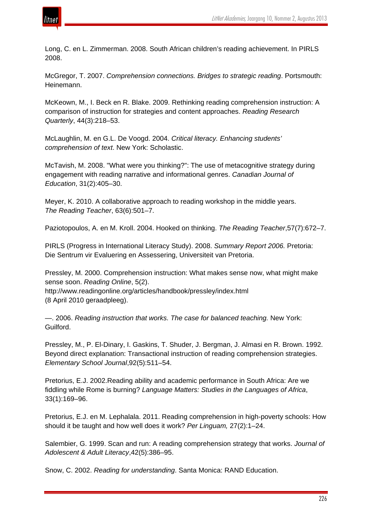

Long, C. en L. Zimmerman. 2008. South African children's reading achievement. In PIRLS 2008.

McGregor, T. 2007. *Comprehension connections. Bridges to strategic reading*. Portsmouth: Heinemann.

McKeown, M., I. Beck en R. Blake. 2009. Rethinking reading comprehension instruction: A comparison of instruction for strategies and content approaches. *Reading Research Quarterly*, 44(3):218–53.

McLaughlin, M. en G.L. De Voogd. 2004. *Critical literacy. Enhancing students' comprehension of text*. New York: Scholastic.

McTavish, M. 2008. "What were you thinking?": The use of metacognitive strategy during engagement with reading narrative and informational genres. *Canadian Journal of Education*, 31(2):405–30.

Meyer, K. 2010. A collaborative approach to reading workshop in the middle years. *The Reading Teacher*, 63(6):501–7.

Paziotopoulos, A. en M. Kroll. 2004. Hooked on thinking. *The Reading Teacher*,57(7):672–7.

PIRLS (Progress in International Literacy Study). 2008. *Summary Report 2006.* Pretoria: Die Sentrum vir Evaluering en Assessering, Universiteit van Pretoria.

Pressley, M. 2000. Comprehension instruction: What makes sense now, what might make sense soon. *Reading Online*, 5(2). http://www.readingonline.org/articles/handbook/pressley/index.html (8 April 2010 geraadpleeg).

—. 2006. *Reading instruction that works. The case for balanced teaching.* New York: Guilford.

Pressley, M., P. El-Dinary, I. Gaskins, T. Shuder, J. Bergman, J. Almasi en R. Brown. 1992. Beyond direct explanation: Transactional instruction of reading comprehension strategies. *Elementary School Journal*,92(5):511–54.

Pretorius, E.J. 2002.Reading ability and academic performance in South Africa: Are we fiddling while Rome is burning? *Language Matters: Studies in the Languages of Africa*, 33(1):169–96.

Pretorius, E.J. en M. Lephalala. 2011. Reading comprehension in high-poverty schools: How should it be taught and how well does it work? *Per Linguam,* 27(2):1–24.

Salembier, G. 1999. Scan and run: A reading comprehension strategy that works. *Journal of Adolescent & Adult Literacy*,42(5):386–95.

Snow, C. 2002. *Reading for understanding*. Santa Monica: RAND Education.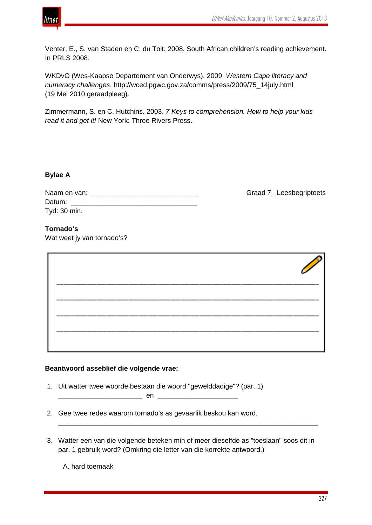

Graad 7 Leesbegriptoets

Venter, E., S. van Staden en C. du Toit. 2008. South African children's reading achievement. In PRLS 2008.

WKDvO (Wes-Kaapse Departement van Onderwys). 2009. *Western Cape literacy and numeracy challenges*. http://wced.pgwc.gov.za/comms/press/2009/75\_14july.html (19 Mei 2010 geraadpleeg).

Zimmermann, S. en C. Hutchins. 2003. *7 Keys to comprehension. How to help your kids read it and get it!* New York: Three Rivers Press.

## **Bylae A**

| Naam en van: |  |
|--------------|--|
| Datum:       |  |
| Tyd: 30 min. |  |

## **Tornado's**

Wat weet jy van tornado's?

| _________<br>-- | --<br>-- |  |
|-----------------|----------|--|
|                 |          |  |
|                 |          |  |

## **Beantwoord asseblief die volgende vrae:**

1. Uit watter twee woorde bestaan die woord "gewelddadige"? (par. 1)

\_\_\_\_\_\_\_\_\_\_\_\_\_\_\_\_\_\_\_\_\_\_ en \_\_\_\_\_\_\_\_\_\_\_\_\_\_\_\_\_\_\_\_\_

- 2. Gee twee redes waarom tornado's as gevaarlik beskou kan word.
- 3. Watter een van die volgende beteken min of meer dieselfde as "toeslaan" soos dit in par. 1 gebruik word? (Omkring die letter van die korrekte antwoord.)

\_\_\_\_\_\_\_\_\_\_\_\_\_\_\_\_\_\_\_\_\_\_\_\_\_\_\_\_\_\_\_\_\_\_\_\_\_\_\_\_\_\_\_\_\_\_\_\_\_\_\_\_\_\_\_\_\_\_\_\_\_\_\_\_\_\_\_\_

A. hard toemaak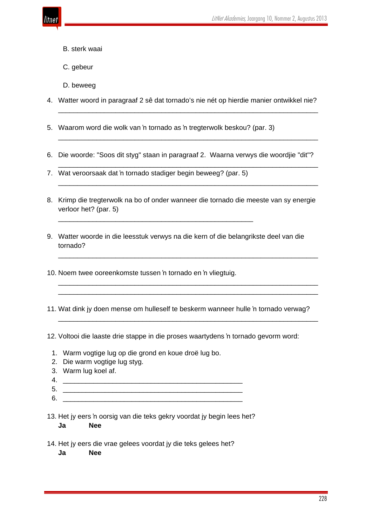

- B. sterk waai
- C. gebeur
- D. beweeg
- 4. Watter woord in paragraaf 2 sê dat tornado's nie nét op hierdie manier ontwikkel nie?

\_\_\_\_\_\_\_\_\_\_\_\_\_\_\_\_\_\_\_\_\_\_\_\_\_\_\_\_\_\_\_\_\_\_\_\_\_\_\_\_\_\_\_\_\_\_\_\_\_\_\_\_\_\_\_\_\_\_\_\_\_\_\_\_\_\_\_\_

\_\_\_\_\_\_\_\_\_\_\_\_\_\_\_\_\_\_\_\_\_\_\_\_\_\_\_\_\_\_\_\_\_\_\_\_\_\_\_\_\_\_\_\_\_\_\_\_\_\_\_\_\_\_\_\_\_\_\_\_\_\_\_\_\_\_\_\_

\_\_\_\_\_\_\_\_\_\_\_\_\_\_\_\_\_\_\_\_\_\_\_\_\_\_\_\_\_\_\_\_\_\_\_\_\_\_\_\_\_\_\_\_\_\_\_\_\_\_\_\_\_\_\_\_\_\_\_\_\_\_\_\_\_\_\_\_

\_\_\_\_\_\_\_\_\_\_\_\_\_\_\_\_\_\_\_\_\_\_\_\_\_\_\_\_\_\_\_\_\_\_\_\_\_\_\_\_\_\_\_\_\_\_\_\_\_\_\_\_\_\_\_\_\_\_\_\_\_\_\_\_\_\_\_\_

\_\_\_\_\_\_\_\_\_\_\_\_\_\_\_\_\_\_\_\_\_\_\_\_\_\_\_\_\_\_\_\_\_\_\_\_\_\_\_\_\_\_\_\_\_\_\_\_\_\_\_\_\_\_\_\_\_\_\_\_\_\_\_\_\_\_\_\_

\_\_\_\_\_\_\_\_\_\_\_\_\_\_\_\_\_\_\_\_\_\_\_\_\_\_\_\_\_\_\_\_\_\_\_\_\_\_\_\_\_\_\_\_\_\_\_\_\_\_\_\_\_\_\_\_\_\_\_\_\_\_\_\_\_\_\_\_ \_\_\_\_\_\_\_\_\_\_\_\_\_\_\_\_\_\_\_\_\_\_\_\_\_\_\_\_\_\_\_\_\_\_\_\_\_\_\_\_\_\_\_\_\_\_\_\_\_\_\_\_\_\_\_\_\_\_\_\_\_\_\_\_\_\_\_\_

\_\_\_\_\_\_\_\_\_\_\_\_\_\_\_\_\_\_\_\_\_\_\_\_\_\_\_\_\_\_\_\_\_\_\_\_\_\_\_\_\_\_\_\_\_\_\_\_\_\_\_\_\_\_\_\_\_\_\_\_\_\_\_\_\_\_\_\_

- 5. Waarom word die wolk van 'n tornado as 'n tregterwolk beskou? (par. 3)
- 6. Die woorde: "Soos dit styg" staan in paragraaf 2. Waarna verwys die woordjie "dit"?
- 7. Wat veroorsaak dat 'n tornado stadiger begin beweeg? (par. 5)

\_\_\_\_\_\_\_\_\_\_\_\_\_\_\_\_\_\_\_\_\_\_\_\_\_\_\_\_\_\_\_\_\_\_\_\_\_\_\_\_\_\_\_\_\_\_\_\_\_\_\_

- 8. Krimp die tregterwolk na bo of onder wanneer die tornado die meeste van sy energie verloor het? (par. 5)
- 9. Watter woorde in die leesstuk verwys na die kern of die belangrikste deel van die tornado?
- 10. Noem twee ooreenkomste tussen 'n tornado en 'n vliegtuig.
- 11. Wat dink jy doen mense om hulleself te beskerm wanneer hulle 'n tornado verwag?

12. Voltooi die laaste drie stappe in die proses waartydens 'n tornado gevorm word:

- 1. Warm vogtige lug op die grond en koue droë lug bo.
- 2. Die warm vogtige lug styg.
- 3. Warm lug koel af.
- $4.$
- 

5. \_\_\_\_\_\_\_\_\_\_\_\_\_\_\_\_\_\_\_\_\_\_\_\_\_\_\_\_\_\_\_\_\_\_\_\_\_\_\_\_\_\_\_\_\_\_\_ 6. \_\_\_\_\_\_\_\_\_\_\_\_\_\_\_\_\_\_\_\_\_\_\_\_\_\_\_\_\_\_\_\_\_\_\_\_\_\_\_\_\_\_\_\_\_\_\_

- 13. Het jy eers 'n oorsig van die teks gekry voordat jy begin lees het? **Ja Nee**
- 14. Het jy eers die vrae gelees voordat jy die teks gelees het?
	- **Ja Nee**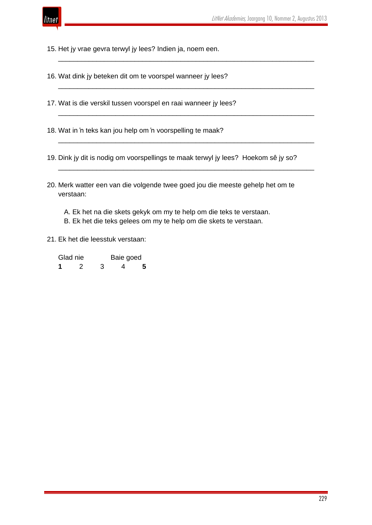

15. Het jy vrae gevra terwyl jy lees? Indien ja, noem een.

16. Wat dink jy beteken dit om te voorspel wanneer jy lees?

17. Wat is die verskil tussen voorspel en raai wanneer jy lees?

18. Wat in 'n teks kan jou help om 'n voorspelling te maak?

19. Dink jy dit is nodig om voorspellings te maak terwyl jy lees? Hoekom sê jy so?

\_\_\_\_\_\_\_\_\_\_\_\_\_\_\_\_\_\_\_\_\_\_\_\_\_\_\_\_\_\_\_\_\_\_\_\_\_\_\_\_\_\_\_\_\_\_\_\_\_\_\_\_\_\_\_\_\_\_\_\_\_\_\_\_\_\_\_

\_\_\_\_\_\_\_\_\_\_\_\_\_\_\_\_\_\_\_\_\_\_\_\_\_\_\_\_\_\_\_\_\_\_\_\_\_\_\_\_\_\_\_\_\_\_\_\_\_\_\_\_\_\_\_\_\_\_\_\_\_\_\_\_\_\_\_

\_\_\_\_\_\_\_\_\_\_\_\_\_\_\_\_\_\_\_\_\_\_\_\_\_\_\_\_\_\_\_\_\_\_\_\_\_\_\_\_\_\_\_\_\_\_\_\_\_\_\_\_\_\_\_\_\_\_\_\_\_\_\_\_\_\_\_

\_\_\_\_\_\_\_\_\_\_\_\_\_\_\_\_\_\_\_\_\_\_\_\_\_\_\_\_\_\_\_\_\_\_\_\_\_\_\_\_\_\_\_\_\_\_\_\_\_\_\_\_\_\_\_\_\_\_\_\_\_\_\_\_\_\_\_

\_\_\_\_\_\_\_\_\_\_\_\_\_\_\_\_\_\_\_\_\_\_\_\_\_\_\_\_\_\_\_\_\_\_\_\_\_\_\_\_\_\_\_\_\_\_\_\_\_\_\_\_\_\_\_\_\_\_\_\_\_\_\_\_\_\_\_

20. Merk watter een van die volgende twee goed jou die meeste gehelp het om te verstaan:

 A. Ek het na die skets gekyk om my te help om die teks te verstaan. B. Ek het die teks gelees om my te help om die skets te verstaan.

21. Ek het die leesstuk verstaan:

| Glad nie |  | Baie goed |   |   |
|----------|--|-----------|---|---|
|          |  | 3         | Δ | 5 |